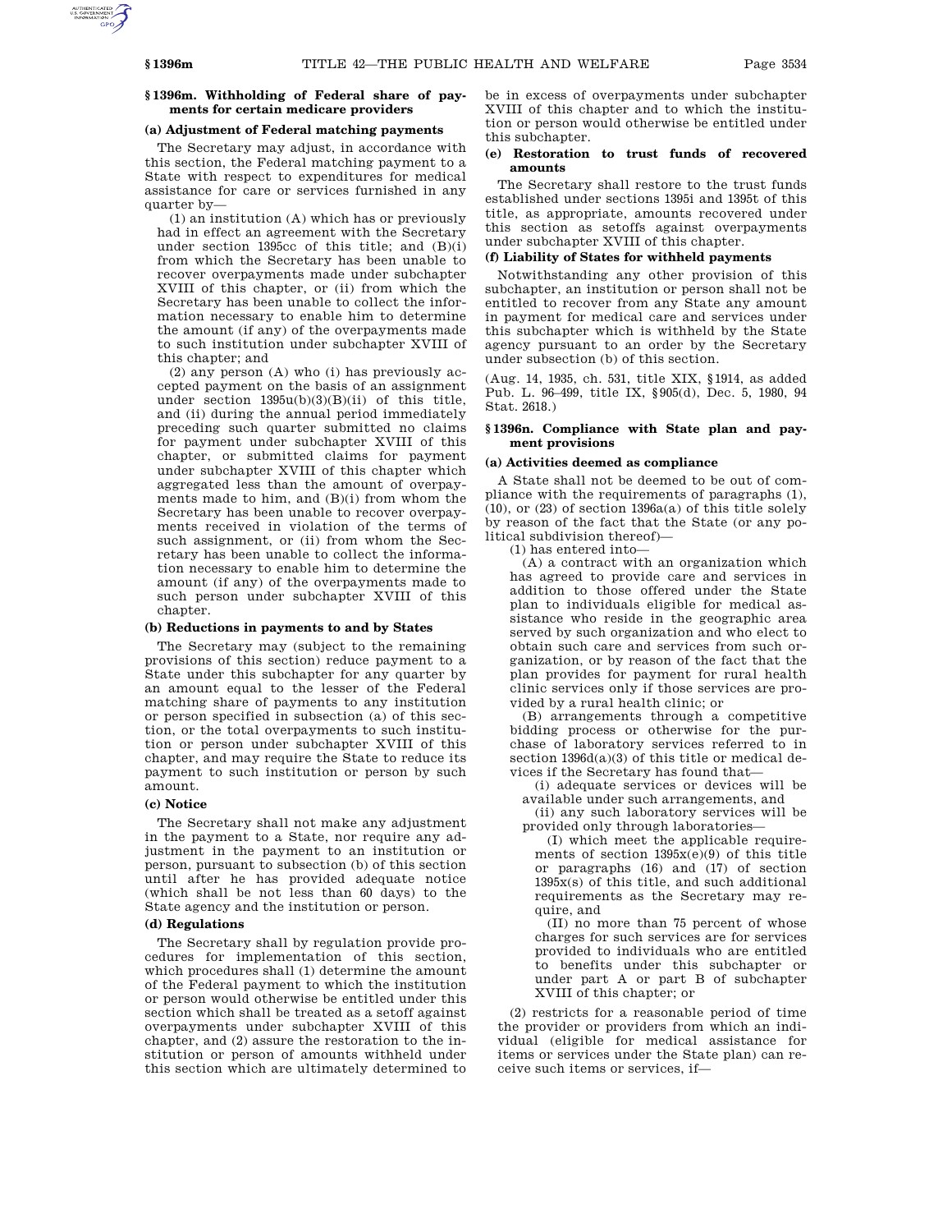### **§ 1396m. Withholding of Federal share of payments for certain medicare providers**

#### **(a) Adjustment of Federal matching payments**

The Secretary may adjust, in accordance with this section, the Federal matching payment to a State with respect to expenditures for medical assistance for care or services furnished in any quarter by—

(1) an institution (A) which has or previously had in effect an agreement with the Secretary under section 1395cc of this title; and (B)(i) from which the Secretary has been unable to recover overpayments made under subchapter XVIII of this chapter, or (ii) from which the Secretary has been unable to collect the information necessary to enable him to determine the amount (if any) of the overpayments made to such institution under subchapter XVIII of this chapter; and

(2) any person (A) who (i) has previously accepted payment on the basis of an assignment under section 1395u(b)(3)(B)(ii) of this title, and (ii) during the annual period immediately preceding such quarter submitted no claims for payment under subchapter XVIII of this chapter, or submitted claims for payment under subchapter XVIII of this chapter which aggregated less than the amount of overpayments made to him, and (B)(i) from whom the Secretary has been unable to recover overpayments received in violation of the terms of such assignment, or (ii) from whom the Secretary has been unable to collect the information necessary to enable him to determine the amount (if any) of the overpayments made to such person under subchapter XVIII of this chapter.

#### **(b) Reductions in payments to and by States**

The Secretary may (subject to the remaining provisions of this section) reduce payment to a State under this subchapter for any quarter by an amount equal to the lesser of the Federal matching share of payments to any institution or person specified in subsection (a) of this section, or the total overpayments to such institution or person under subchapter XVIII of this chapter, and may require the State to reduce its payment to such institution or person by such amount.

#### **(c) Notice**

The Secretary shall not make any adjustment in the payment to a State, nor require any adjustment in the payment to an institution or person, pursuant to subsection (b) of this section until after he has provided adequate notice (which shall be not less than 60 days) to the State agency and the institution or person.

#### **(d) Regulations**

The Secretary shall by regulation provide procedures for implementation of this section, which procedures shall (1) determine the amount of the Federal payment to which the institution or person would otherwise be entitled under this section which shall be treated as a setoff against overpayments under subchapter XVIII of this chapter, and (2) assure the restoration to the institution or person of amounts withheld under this section which are ultimately determined to

be in excess of overpayments under subchapter XVIII of this chapter and to which the institution or person would otherwise be entitled under this subchapter.

### **(e) Restoration to trust funds of recovered amounts**

The Secretary shall restore to the trust funds established under sections 1395i and 1395t of this title, as appropriate, amounts recovered under this section as setoffs against overpayments under subchapter XVIII of this chapter.

### **(f) Liability of States for withheld payments**

Notwithstanding any other provision of this subchapter, an institution or person shall not be entitled to recover from any State any amount in payment for medical care and services under this subchapter which is withheld by the State agency pursuant to an order by the Secretary under subsection (b) of this section.

(Aug. 14, 1935, ch. 531, title XIX, §1914, as added Pub. L. 96–499, title IX, §905(d), Dec. 5, 1980, 94 Stat. 2618.)

#### **§ 1396n. Compliance with State plan and payment provisions**

#### **(a) Activities deemed as compliance**

A State shall not be deemed to be out of compliance with the requirements of paragraphs (1), (10), or (23) of section 1396a(a) of this title solely by reason of the fact that the State (or any political subdivision thereof)—

(1) has entered into—

(A) a contract with an organization which has agreed to provide care and services in addition to those offered under the State plan to individuals eligible for medical assistance who reside in the geographic area served by such organization and who elect to obtain such care and services from such organization, or by reason of the fact that the plan provides for payment for rural health clinic services only if those services are provided by a rural health clinic; or

(B) arrangements through a competitive bidding process or otherwise for the purchase of laboratory services referred to in section 1396d(a)(3) of this title or medical devices if the Secretary has found that—

(i) adequate services or devices will be available under such arrangements, and

(ii) any such laboratory services will be provided only through laboratories—

(I) which meet the applicable requirements of section  $1395x(e)(9)$  of this title or paragraphs (16) and (17) of section 1395x(s) of this title, and such additional requirements as the Secretary may require, and

(II) no more than 75 percent of whose charges for such services are for services provided to individuals who are entitled to benefits under this subchapter or under part A or part B of subchapter XVIII of this chapter; or

(2) restricts for a reasonable period of time the provider or providers from which an individual (eligible for medical assistance for items or services under the State plan) can receive such items or services, if—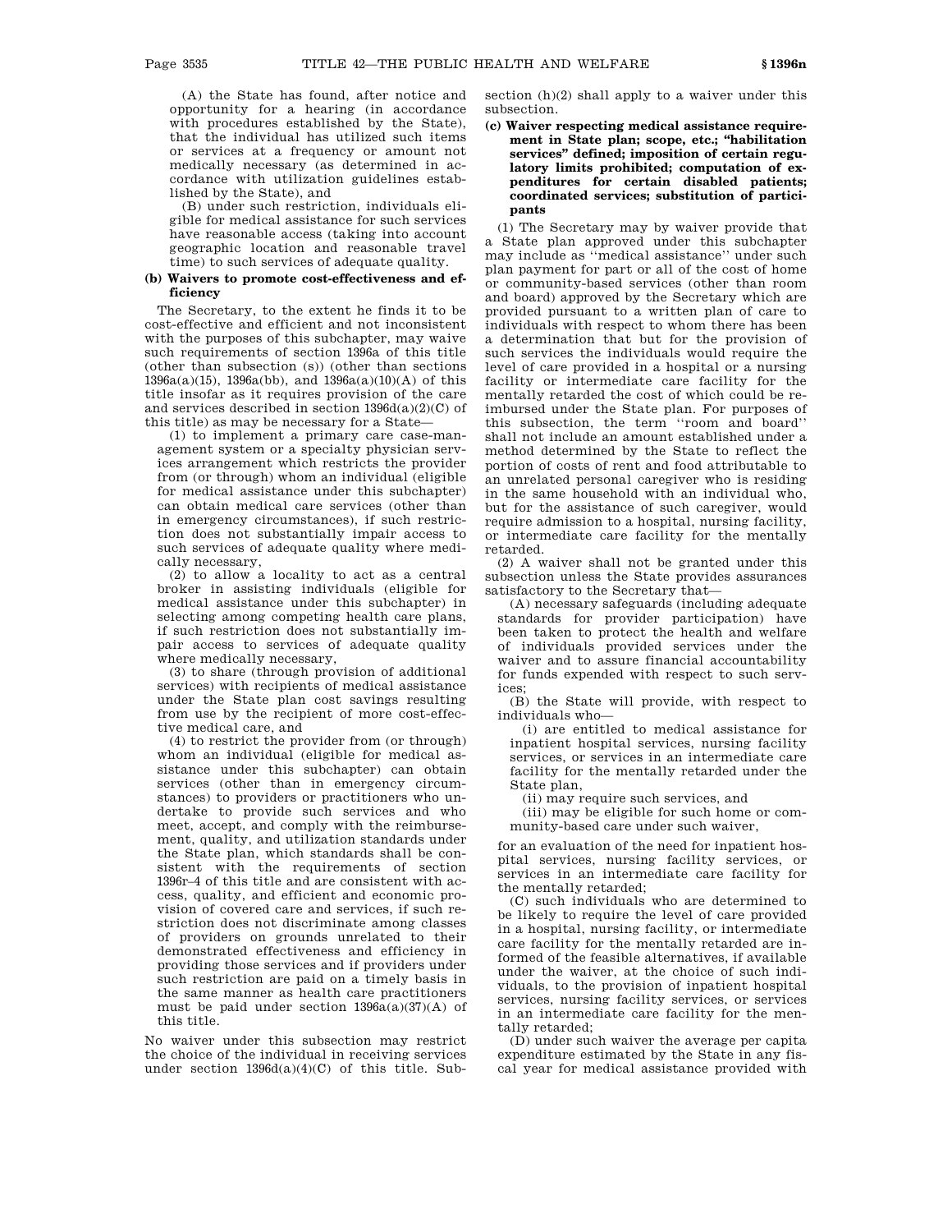(A) the State has found, after notice and opportunity for a hearing (in accordance with procedures established by the State), that the individual has utilized such items or services at a frequency or amount not medically necessary (as determined in accordance with utilization guidelines established by the State), and

(B) under such restriction, individuals eligible for medical assistance for such services have reasonable access (taking into account geographic location and reasonable travel time) to such services of adequate quality.

### **(b) Waivers to promote cost-effectiveness and efficiency**

The Secretary, to the extent he finds it to be cost-effective and efficient and not inconsistent with the purposes of this subchapter, may waive such requirements of section 1396a of this title (other than subsection (s)) (other than sections  $1396a(a)(15)$ ,  $1396a(bb)$ , and  $1396a(a)(10)(A)$  of this title insofar as it requires provision of the care and services described in section  $1396d(a)(2)(C)$  of this title) as may be necessary for a State—

(1) to implement a primary care case-management system or a specialty physician services arrangement which restricts the provider from (or through) whom an individual (eligible for medical assistance under this subchapter) can obtain medical care services (other than in emergency circumstances), if such restriction does not substantially impair access to such services of adequate quality where medically necessary,

(2) to allow a locality to act as a central broker in assisting individuals (eligible for medical assistance under this subchapter) in selecting among competing health care plans, if such restriction does not substantially impair access to services of adequate quality where medically necessary,

(3) to share (through provision of additional services) with recipients of medical assistance under the State plan cost savings resulting from use by the recipient of more cost-effective medical care, and

(4) to restrict the provider from (or through) whom an individual (eligible for medical assistance under this subchapter) can obtain services (other than in emergency circumstances) to providers or practitioners who undertake to provide such services and who meet, accept, and comply with the reimbursement, quality, and utilization standards under the State plan, which standards shall be consistent with the requirements of section 1396r–4 of this title and are consistent with access, quality, and efficient and economic provision of covered care and services, if such restriction does not discriminate among classes of providers on grounds unrelated to their demonstrated effectiveness and efficiency in providing those services and if providers under such restriction are paid on a timely basis in the same manner as health care practitioners must be paid under section 1396a(a)(37)(A) of this title.

No waiver under this subsection may restrict the choice of the individual in receiving services under section 1396d(a)(4)(C) of this title. Subsection  $(h)(2)$  shall apply to a waiver under this subsection.

### **(c) Waiver respecting medical assistance requirement in State plan; scope, etc.; ''habilitation services'' defined; imposition of certain regulatory limits prohibited; computation of expenditures for certain disabled patients; coordinated services; substitution of participants**

(1) The Secretary may by waiver provide that a State plan approved under this subchapter may include as ''medical assistance'' under such plan payment for part or all of the cost of home or community-based services (other than room and board) approved by the Secretary which are provided pursuant to a written plan of care to individuals with respect to whom there has been a determination that but for the provision of such services the individuals would require the level of care provided in a hospital or a nursing facility or intermediate care facility for the mentally retarded the cost of which could be reimbursed under the State plan. For purposes of this subsection, the term ''room and board'' shall not include an amount established under a method determined by the State to reflect the portion of costs of rent and food attributable to an unrelated personal caregiver who is residing in the same household with an individual who, but for the assistance of such caregiver, would require admission to a hospital, nursing facility, or intermediate care facility for the mentally retarded.

(2) A waiver shall not be granted under this subsection unless the State provides assurances satisfactory to the Secretary that—

(A) necessary safeguards (including adequate standards for provider participation) have been taken to protect the health and welfare of individuals provided services under the waiver and to assure financial accountability for funds expended with respect to such services;

(B) the State will provide, with respect to individuals who—

(i) are entitled to medical assistance for inpatient hospital services, nursing facility services, or services in an intermediate care facility for the mentally retarded under the State plan,

(ii) may require such services, and

(iii) may be eligible for such home or community-based care under such waiver,

for an evaluation of the need for inpatient hospital services, nursing facility services, or services in an intermediate care facility for the mentally retarded;

(C) such individuals who are determined to be likely to require the level of care provided in a hospital, nursing facility, or intermediate care facility for the mentally retarded are informed of the feasible alternatives, if available under the waiver, at the choice of such individuals, to the provision of inpatient hospital services, nursing facility services, or services in an intermediate care facility for the mentally retarded;

(D) under such waiver the average per capita expenditure estimated by the State in any fiscal year for medical assistance provided with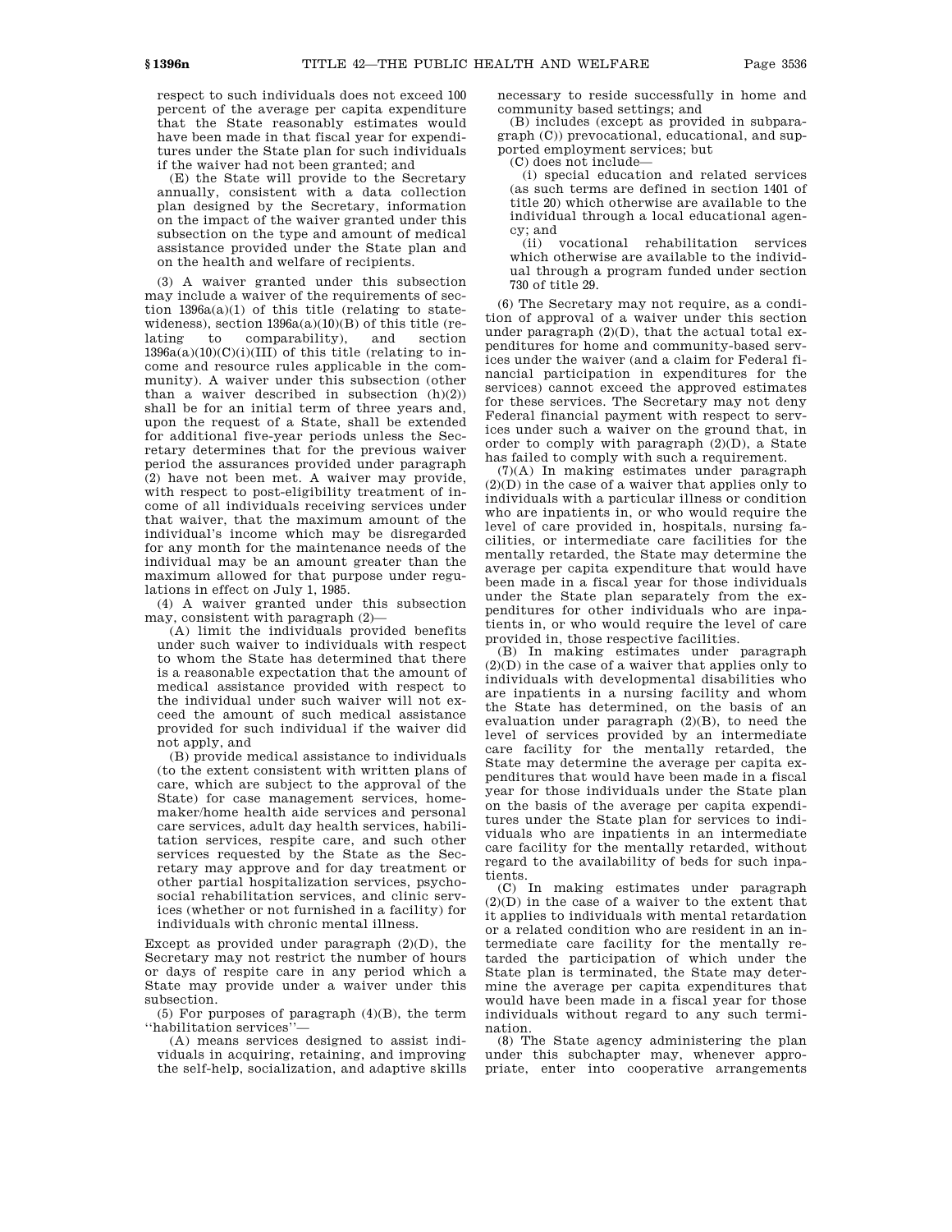respect to such individuals does not exceed 100 percent of the average per capita expenditure that the State reasonably estimates would have been made in that fiscal year for expenditures under the State plan for such individuals if the waiver had not been granted; and

(E) the State will provide to the Secretary annually, consistent with a data collection plan designed by the Secretary, information on the impact of the waiver granted under this subsection on the type and amount of medical assistance provided under the State plan and on the health and welfare of recipients.

(3) A waiver granted under this subsection may include a waiver of the requirements of section  $1396a(a)(1)$  of this title (relating to statewideness), section  $1396a(a)(10)(B)$  of this title (relating to comparability), and section  $1396a(a)(10)(C)(i)(III)$  of this title (relating to income and resource rules applicable in the community). A waiver under this subsection (other than a waiver described in subsection  $(h)(2)$ ) shall be for an initial term of three years and, upon the request of a State, shall be extended for additional five-year periods unless the Secretary determines that for the previous waiver period the assurances provided under paragraph (2) have not been met. A waiver may provide, with respect to post-eligibility treatment of income of all individuals receiving services under that waiver, that the maximum amount of the individual's income which may be disregarded for any month for the maintenance needs of the individual may be an amount greater than the maximum allowed for that purpose under regulations in effect on July 1, 1985.

(4) A waiver granted under this subsection may, consistent with paragraph (2)—

(A) limit the individuals provided benefits under such waiver to individuals with respect to whom the State has determined that there is a reasonable expectation that the amount of medical assistance provided with respect to the individual under such waiver will not exceed the amount of such medical assistance provided for such individual if the waiver did not apply, and

(B) provide medical assistance to individuals (to the extent consistent with written plans of care, which are subject to the approval of the State) for case management services, homemaker/home health aide services and personal care services, adult day health services, habilitation services, respite care, and such other services requested by the State as the Secretary may approve and for day treatment or other partial hospitalization services, psychosocial rehabilitation services, and clinic services (whether or not furnished in a facility) for individuals with chronic mental illness.

Except as provided under paragraph  $(2)(D)$ , the Secretary may not restrict the number of hours or days of respite care in any period which a State may provide under a waiver under this subsection.

(5) For purposes of paragraph (4)(B), the term ''habilitation services''—

(A) means services designed to assist individuals in acquiring, retaining, and improving the self-help, socialization, and adaptive skills necessary to reside successfully in home and community based settings; and

(B) includes (except as provided in subparagraph (C)) prevocational, educational, and supported employment services; but

(C) does not include—

(i) special education and related services (as such terms are defined in section 1401 of title 20) which otherwise are available to the individual through a local educational agency; and

(ii) vocational rehabilitation services which otherwise are available to the individual through a program funded under section 730 of title 29.

(6) The Secretary may not require, as a condition of approval of a waiver under this section under paragraph  $(2)(D)$ , that the actual total expenditures for home and community-based services under the waiver (and a claim for Federal financial participation in expenditures for the services) cannot exceed the approved estimates for these services. The Secretary may not deny Federal financial payment with respect to services under such a waiver on the ground that, in order to comply with paragraph  $(2)(D)$ , a State has failed to comply with such a requirement.

(7)(A) In making estimates under paragraph (2)(D) in the case of a waiver that applies only to individuals with a particular illness or condition who are inpatients in, or who would require the level of care provided in, hospitals, nursing facilities, or intermediate care facilities for the mentally retarded, the State may determine the average per capita expenditure that would have been made in a fiscal year for those individuals under the State plan separately from the expenditures for other individuals who are inpatients in, or who would require the level of care provided in, those respective facilities.

(B) In making estimates under paragraph (2)(D) in the case of a waiver that applies only to individuals with developmental disabilities who are inpatients in a nursing facility and whom the State has determined, on the basis of an evaluation under paragraph (2)(B), to need the level of services provided by an intermediate care facility for the mentally retarded, the State may determine the average per capita expenditures that would have been made in a fiscal year for those individuals under the State plan on the basis of the average per capita expenditures under the State plan for services to individuals who are inpatients in an intermediate care facility for the mentally retarded, without regard to the availability of beds for such inpatients.

(C) In making estimates under paragraph  $(2)(D)$  in the case of a waiver to the extent that it applies to individuals with mental retardation or a related condition who are resident in an intermediate care facility for the mentally retarded the participation of which under the State plan is terminated, the State may determine the average per capita expenditures that would have been made in a fiscal year for those individuals without regard to any such termination.

(8) The State agency administering the plan under this subchapter may, whenever appropriate, enter into cooperative arrangements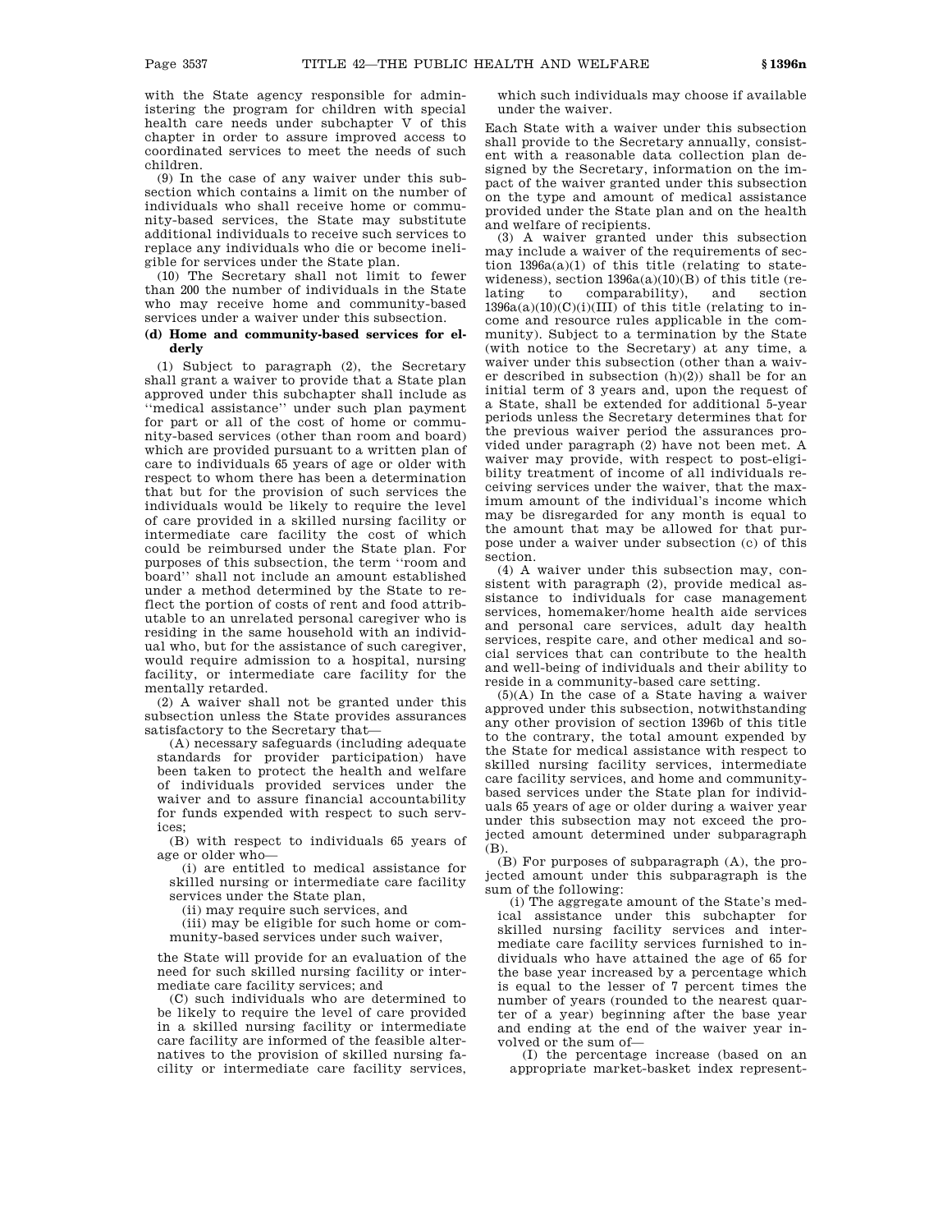with the State agency responsible for administering the program for children with special health care needs under subchapter V of this chapter in order to assure improved access to coordinated services to meet the needs of such children.

(9) In the case of any waiver under this subsection which contains a limit on the number of individuals who shall receive home or community-based services, the State may substitute additional individuals to receive such services to replace any individuals who die or become ineligible for services under the State plan.

(10) The Secretary shall not limit to fewer than 200 the number of individuals in the State who may receive home and community-based services under a waiver under this subsection.

### **(d) Home and community-based services for elderly**

(1) Subject to paragraph (2), the Secretary shall grant a waiver to provide that a State plan approved under this subchapter shall include as ''medical assistance'' under such plan payment for part or all of the cost of home or community-based services (other than room and board) which are provided pursuant to a written plan of care to individuals 65 years of age or older with respect to whom there has been a determination that but for the provision of such services the individuals would be likely to require the level of care provided in a skilled nursing facility or intermediate care facility the cost of which could be reimbursed under the State plan. For purposes of this subsection, the term ''room and board'' shall not include an amount established under a method determined by the State to reflect the portion of costs of rent and food attributable to an unrelated personal caregiver who is residing in the same household with an individual who, but for the assistance of such caregiver, would require admission to a hospital, nursing facility, or intermediate care facility for the mentally retarded.

(2) A waiver shall not be granted under this subsection unless the State provides assurances satisfactory to the Secretary that—

(A) necessary safeguards (including adequate standards for provider participation) have been taken to protect the health and welfare of individuals provided services under the waiver and to assure financial accountability for funds expended with respect to such services;

(B) with respect to individuals 65 years of age or older who—

(i) are entitled to medical assistance for skilled nursing or intermediate care facility services under the State plan,

(ii) may require such services, and

(iii) may be eligible for such home or community-based services under such waiver,

the State will provide for an evaluation of the need for such skilled nursing facility or intermediate care facility services; and

(C) such individuals who are determined to be likely to require the level of care provided in a skilled nursing facility or intermediate care facility are informed of the feasible alternatives to the provision of skilled nursing facility or intermediate care facility services,

which such individuals may choose if available under the waiver.

Each State with a waiver under this subsection shall provide to the Secretary annually, consistent with a reasonable data collection plan designed by the Secretary, information on the impact of the waiver granted under this subsection on the type and amount of medical assistance provided under the State plan and on the health and welfare of recipients.

(3) A waiver granted under this subsection may include a waiver of the requirements of section  $1396a(a)(1)$  of this title (relating to statewideness), section  $1396a(a)(10)(B)$  of this title (relating to comparability), and section  $1396a(a)(10)(C)(i)(III)$  of this title (relating to income and resource rules applicable in the community). Subject to a termination by the State (with notice to the Secretary) at any time, a waiver under this subsection (other than a waiver described in subsection (h)(2)) shall be for an initial term of 3 years and, upon the request of a State, shall be extended for additional 5-year periods unless the Secretary determines that for the previous waiver period the assurances provided under paragraph (2) have not been met. A waiver may provide, with respect to post-eligibility treatment of income of all individuals receiving services under the waiver, that the maximum amount of the individual's income which may be disregarded for any month is equal to the amount that may be allowed for that purpose under a waiver under subsection (c) of this section.

(4) A waiver under this subsection may, consistent with paragraph (2), provide medical assistance to individuals for case management services, homemaker/home health aide services and personal care services, adult day health services, respite care, and other medical and social services that can contribute to the health and well-being of individuals and their ability to reside in a community-based care setting.

 $(5)(A)$  In the case of a State having a waiver approved under this subsection, notwithstanding any other provision of section 1396b of this title to the contrary, the total amount expended by the State for medical assistance with respect to skilled nursing facility services, intermediate care facility services, and home and communitybased services under the State plan for individuals 65 years of age or older during a waiver year under this subsection may not exceed the projected amount determined under subparagraph  $(B)$ 

(B) For purposes of subparagraph (A), the projected amount under this subparagraph is the sum of the following:

(i) The aggregate amount of the State's medical assistance under this subchapter for skilled nursing facility services and intermediate care facility services furnished to individuals who have attained the age of 65 for the base year increased by a percentage which is equal to the lesser of 7 percent times the number of years (rounded to the nearest quarter of a year) beginning after the base year and ending at the end of the waiver year involved or the sum of—

(I) the percentage increase (based on an appropriate market-basket index represent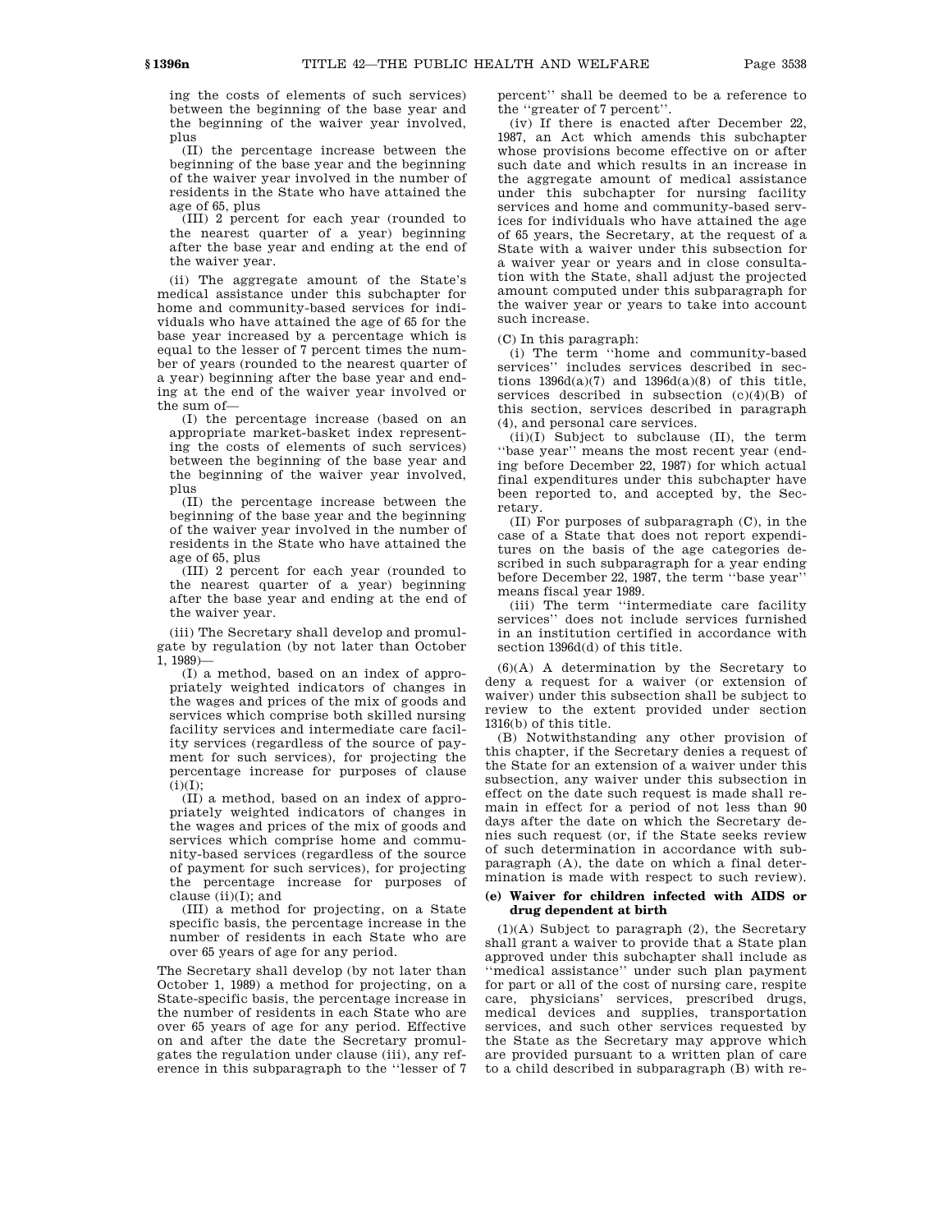ing the costs of elements of such services) between the beginning of the base year and the beginning of the waiver year involved, plus

(II) the percentage increase between the beginning of the base year and the beginning of the waiver year involved in the number of residents in the State who have attained the age of 65, plus

 $\tilde{L}$ (III) 2 percent for each year (rounded to the nearest quarter of a year) beginning after the base year and ending at the end of the waiver year.

(ii) The aggregate amount of the State's medical assistance under this subchapter for home and community-based services for individuals who have attained the age of 65 for the base year increased by a percentage which is equal to the lesser of 7 percent times the number of years (rounded to the nearest quarter of a year) beginning after the base year and ending at the end of the waiver year involved or the sum of—

(I) the percentage increase (based on an appropriate market-basket index representing the costs of elements of such services) between the beginning of the base year and the beginning of the waiver year involved, plus

(II) the percentage increase between the beginning of the base year and the beginning of the waiver year involved in the number of residents in the State who have attained the age of 65, plus

(III) 2 percent for each year (rounded to the nearest quarter of a year) beginning after the base year and ending at the end of the waiver year.

(iii) The Secretary shall develop and promulgate by regulation (by not later than October 1, 1989)—

(I) a method, based on an index of appropriately weighted indicators of changes in the wages and prices of the mix of goods and services which comprise both skilled nursing facility services and intermediate care facility services (regardless of the source of payment for such services), for projecting the percentage increase for purposes of clause  $(i)(I)$ :

(II) a method, based on an index of appropriately weighted indicators of changes in the wages and prices of the mix of goods and services which comprise home and community-based services (regardless of the source of payment for such services), for projecting the percentage increase for purposes of clause (ii)(I); and

(III) a method for projecting, on a State specific basis, the percentage increase in the number of residents in each State who are over 65 years of age for any period.

The Secretary shall develop (by not later than October 1, 1989) a method for projecting, on a State-specific basis, the percentage increase in the number of residents in each State who are over 65 years of age for any period. Effective on and after the date the Secretary promulgates the regulation under clause (iii), any reference in this subparagraph to the ''lesser of 7 percent'' shall be deemed to be a reference to the ''greater of 7 percent''.

(iv) If there is enacted after December 22, 1987, an Act which amends this subchapter whose provisions become effective on or after such date and which results in an increase in the aggregate amount of medical assistance under this subchapter for nursing facility services and home and community-based services for individuals who have attained the age of 65 years, the Secretary, at the request of a State with a waiver under this subsection for a waiver year or years and in close consultation with the State, shall adjust the projected amount computed under this subparagraph for the waiver year or years to take into account such increase.

## (C) In this paragraph:

(i) The term ''home and community-based services'' includes services described in sections  $1396d(a)(7)$  and  $1396d(a)(8)$  of this title, services described in subsection  $(c)(4)(B)$  of this section, services described in paragraph (4), and personal care services.

(ii)(I) Subject to subclause (II), the term ''base year'' means the most recent year (ending before December 22, 1987) for which actual final expenditures under this subchapter have been reported to, and accepted by, the Secretary.

(II) For purposes of subparagraph (C), in the case of a State that does not report expenditures on the basis of the age categories described in such subparagraph for a year ending before December 22, 1987, the term ''base year'' means fiscal year 1989.

(iii) The term ''intermediate care facility services'' does not include services furnished in an institution certified in accordance with section 1396d(d) of this title.

(6)(A) A determination by the Secretary to deny a request for a waiver (or extension of waiver) under this subsection shall be subject to review to the extent provided under section 1316(b) of this title.

(B) Notwithstanding any other provision of this chapter, if the Secretary denies a request of the State for an extension of a waiver under this subsection, any waiver under this subsection in effect on the date such request is made shall remain in effect for a period of not less than 90 days after the date on which the Secretary denies such request (or, if the State seeks review of such determination in accordance with subparagraph (A), the date on which a final determination is made with respect to such review).

## **(e) Waiver for children infected with AIDS or drug dependent at birth**

(1)(A) Subject to paragraph (2), the Secretary shall grant a waiver to provide that a State plan approved under this subchapter shall include as ''medical assistance'' under such plan payment for part or all of the cost of nursing care, respite care, physicians' services, prescribed drugs, medical devices and supplies, transportation services, and such other services requested by the State as the Secretary may approve which are provided pursuant to a written plan of care to a child described in subparagraph (B) with re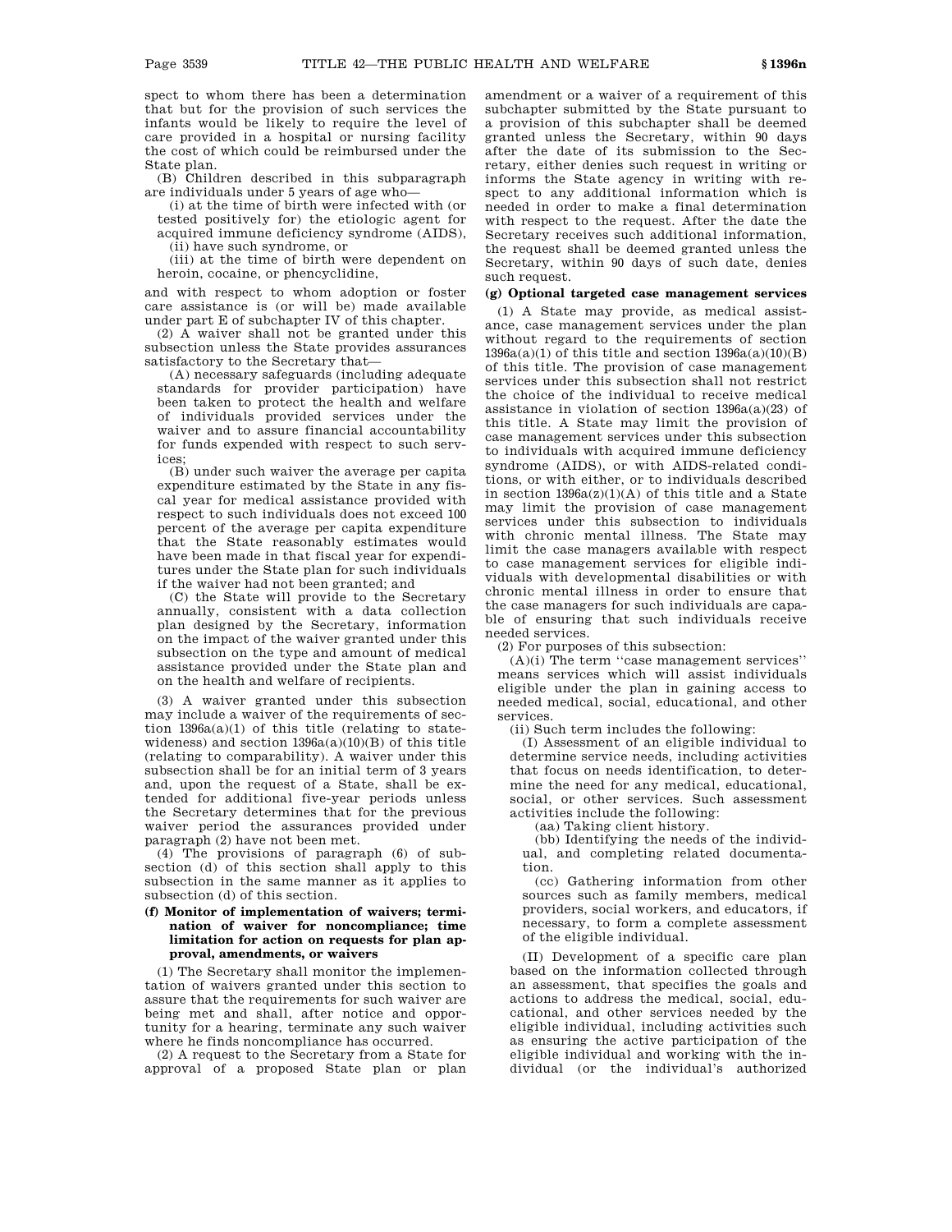spect to whom there has been a determination that but for the provision of such services the infants would be likely to require the level of care provided in a hospital or nursing facility the cost of which could be reimbursed under the State plan.

(B) Children described in this subparagraph are individuals under 5 years of age who—

(i) at the time of birth were infected with (or tested positively for) the etiologic agent for acquired immune deficiency syndrome (AIDS), (ii) have such syndrome, or

(iii) at the time of birth were dependent on heroin, cocaine, or phencyclidine,

and with respect to whom adoption or foster care assistance is (or will be) made available under part E of subchapter IV of this chapter.

(2) A waiver shall not be granted under this subsection unless the State provides assurances satisfactory to the Secretary that—

(A) necessary safeguards (including adequate standards for provider participation) have been taken to protect the health and welfare of individuals provided services under the waiver and to assure financial accountability for funds expended with respect to such services;

(B) under such waiver the average per capita expenditure estimated by the State in any fiscal year for medical assistance provided with respect to such individuals does not exceed 100 percent of the average per capita expenditure that the State reasonably estimates would have been made in that fiscal year for expenditures under the State plan for such individuals if the waiver had not been granted; and

(C) the State will provide to the Secretary annually, consistent with a data collection plan designed by the Secretary, information on the impact of the waiver granted under this subsection on the type and amount of medical assistance provided under the State plan and on the health and welfare of recipients.

(3) A waiver granted under this subsection may include a waiver of the requirements of section  $1396a(a)(1)$  of this title (relating to statewideness) and section  $1396a(a)(10)(B)$  of this title (relating to comparability). A waiver under this subsection shall be for an initial term of 3 years and, upon the request of a State, shall be extended for additional five-year periods unless the Secretary determines that for the previous waiver period the assurances provided under paragraph (2) have not been met.

(4) The provisions of paragraph (6) of subsection (d) of this section shall apply to this subsection in the same manner as it applies to subsection (d) of this section.

### **(f) Monitor of implementation of waivers; termination of waiver for noncompliance; time limitation for action on requests for plan approval, amendments, or waivers**

(1) The Secretary shall monitor the implementation of waivers granted under this section to assure that the requirements for such waiver are being met and shall, after notice and opportunity for a hearing, terminate any such waiver where he finds noncompliance has occurred.

(2) A request to the Secretary from a State for approval of a proposed State plan or plan

amendment or a waiver of a requirement of this subchapter submitted by the State pursuant to a provision of this subchapter shall be deemed granted unless the Secretary, within 90 days after the date of its submission to the Secretary, either denies such request in writing or informs the State agency in writing with respect to any additional information which is needed in order to make a final determination with respect to the request. After the date the Secretary receives such additional information, the request shall be deemed granted unless the Secretary, within 90 days of such date, denies such request.

## **(g) Optional targeted case management services**

(1) A State may provide, as medical assistance, case management services under the plan without regard to the requirements of section  $1396a(a)(1)$  of this title and section  $1396a(a)(10)(B)$ of this title. The provision of case management services under this subsection shall not restrict the choice of the individual to receive medical assistance in violation of section  $1396a(a)(23)$  of this title. A State may limit the provision of case management services under this subsection to individuals with acquired immune deficiency syndrome (AIDS), or with AIDS-related conditions, or with either, or to individuals described in section  $1396a(z)(1)(A)$  of this title and a State may limit the provision of case management services under this subsection to individuals with chronic mental illness. The State may limit the case managers available with respect to case management services for eligible individuals with developmental disabilities or with chronic mental illness in order to ensure that the case managers for such individuals are capable of ensuring that such individuals receive needed services.

(2) For purposes of this subsection:

(A)(i) The term ''case management services'' means services which will assist individuals eligible under the plan in gaining access to needed medical, social, educational, and other services.

(ii) Such term includes the following:

(I) Assessment of an eligible individual to determine service needs, including activities that focus on needs identification, to determine the need for any medical, educational, social, or other services. Such assessment activities include the following:

(aa) Taking client history.

(bb) Identifying the needs of the individual, and completing related documentation.

(cc) Gathering information from other sources such as family members, medical providers, social workers, and educators, if necessary, to form a complete assessment of the eligible individual.

(II) Development of a specific care plan based on the information collected through an assessment, that specifies the goals and actions to address the medical, social, educational, and other services needed by the eligible individual, including activities such as ensuring the active participation of the eligible individual and working with the individual (or the individual's authorized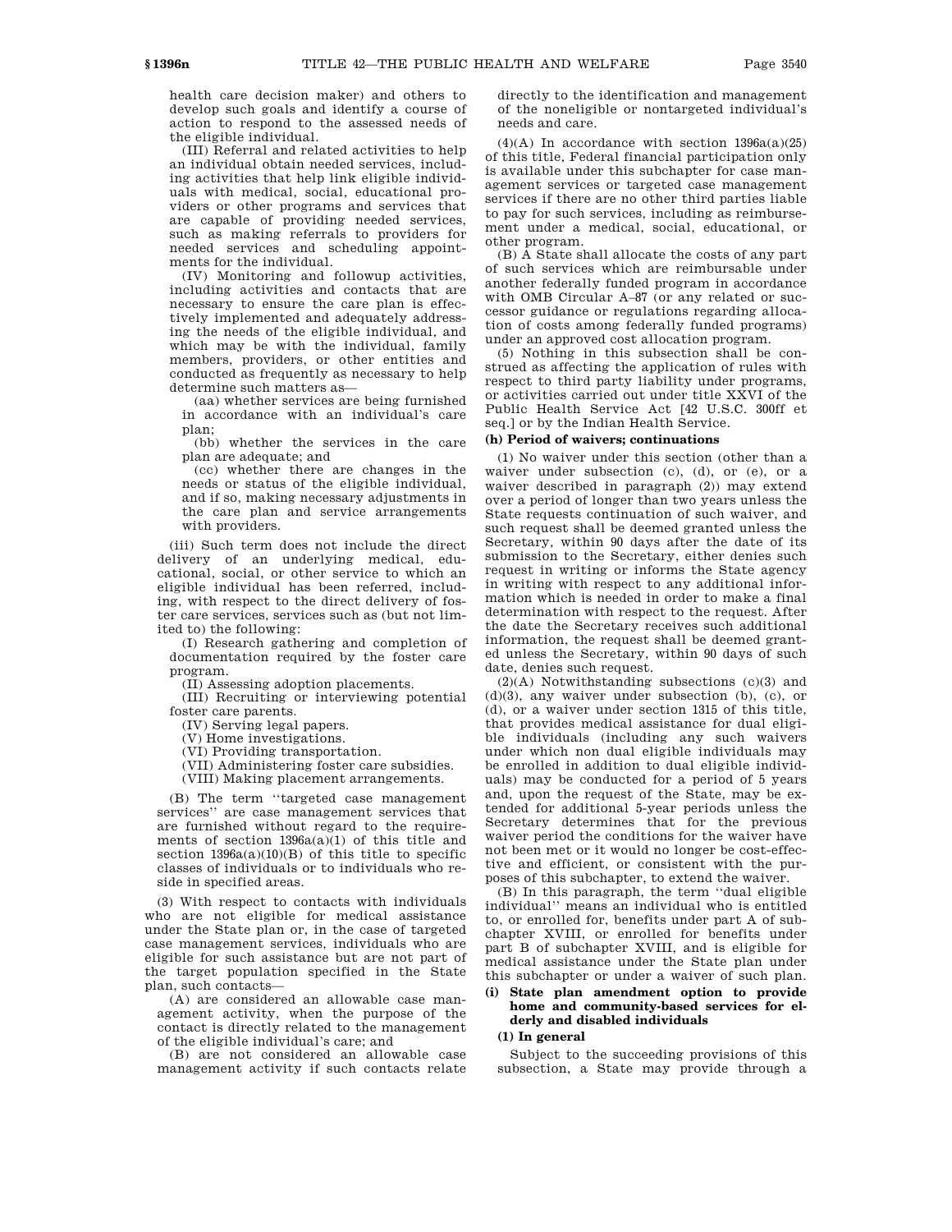health care decision maker) and others to develop such goals and identify a course of action to respond to the assessed needs of the eligible individual.

(III) Referral and related activities to help an individual obtain needed services, including activities that help link eligible individuals with medical, social, educational providers or other programs and services that are capable of providing needed services, such as making referrals to providers for needed services and scheduling appointments for the individual.

(IV) Monitoring and followup activities, including activities and contacts that are necessary to ensure the care plan is effectively implemented and adequately addressing the needs of the eligible individual, and which may be with the individual, family members, providers, or other entities and conducted as frequently as necessary to help determine such matters as—

(aa) whether services are being furnished in accordance with an individual's care plan;

(bb) whether the services in the care plan are adequate; and

(cc) whether there are changes in the needs or status of the eligible individual, and if so, making necessary adjustments in the care plan and service arrangements with providers.

(iii) Such term does not include the direct delivery of an underlying medical, educational, social, or other service to which an eligible individual has been referred, including, with respect to the direct delivery of foster care services, services such as (but not limited to) the following:

(I) Research gathering and completion of documentation required by the foster care program.

(II) Assessing adoption placements.

(III) Recruiting or interviewing potential foster care parents.

(IV) Serving legal papers.

(V) Home investigations.

(VI) Providing transportation.

(VII) Administering foster care subsidies.

(VIII) Making placement arrangements.

(B) The term ''targeted case management services'' are case management services that are furnished without regard to the requirements of section 1396a(a)(1) of this title and section  $1396a(a)(10)(B)$  of this title to specific classes of individuals or to individuals who reside in specified areas.

(3) With respect to contacts with individuals who are not eligible for medical assistance under the State plan or, in the case of targeted case management services, individuals who are eligible for such assistance but are not part of the target population specified in the State plan, such contacts—

(A) are considered an allowable case management activity, when the purpose of the contact is directly related to the management of the eligible individual's care; and

(B) are not considered an allowable case management activity if such contacts relate directly to the identification and management of the noneligible or nontargeted individual's needs and care.

 $(4)(A)$  In accordance with section  $1396a(a)(25)$ of this title, Federal financial participation only is available under this subchapter for case management services or targeted case management services if there are no other third parties liable to pay for such services, including as reimbursement under a medical, social, educational, or other program.

(B) A State shall allocate the costs of any part of such services which are reimbursable under another federally funded program in accordance with OMB Circular A–87 (or any related or successor guidance or regulations regarding allocation of costs among federally funded programs) under an approved cost allocation program.

(5) Nothing in this subsection shall be construed as affecting the application of rules with respect to third party liability under programs, or activities carried out under title XXVI of the Public Health Service Act [42 U.S.C. 300ff et seq.] or by the Indian Health Service.

### **(h) Period of waivers; continuations**

(1) No waiver under this section (other than a waiver under subsection (c), (d), or (e), or a waiver described in paragraph (2)) may extend over a period of longer than two years unless the State requests continuation of such waiver, and such request shall be deemed granted unless the Secretary, within 90 days after the date of its submission to the Secretary, either denies such request in writing or informs the State agency in writing with respect to any additional information which is needed in order to make a final determination with respect to the request. After the date the Secretary receives such additional information, the request shall be deemed granted unless the Secretary, within 90 days of such date, denies such request.

 $(2)(A)$  Notwithstanding subsections  $(c)(3)$  and  $(d)(3)$ , any waiver under subsection  $(b)$ ,  $(c)$ , or (d), or a waiver under section 1315 of this title, that provides medical assistance for dual eligible individuals (including any such waivers under which non dual eligible individuals may be enrolled in addition to dual eligible individuals) may be conducted for a period of 5 years and, upon the request of the State, may be extended for additional 5-year periods unless the Secretary determines that for the previous waiver period the conditions for the waiver have not been met or it would no longer be cost-effective and efficient, or consistent with the purposes of this subchapter, to extend the waiver.

(B) In this paragraph, the term ''dual eligible individual'' means an individual who is entitled to, or enrolled for, benefits under part A of subchapter XVIII, or enrolled for benefits under part B of subchapter XVIII, and is eligible for medical assistance under the State plan under this subchapter or under a waiver of such plan.

## **(i) State plan amendment option to provide home and community-based services for elderly and disabled individuals**

### **(1) In general**

Subject to the succeeding provisions of this subsection, a State may provide through a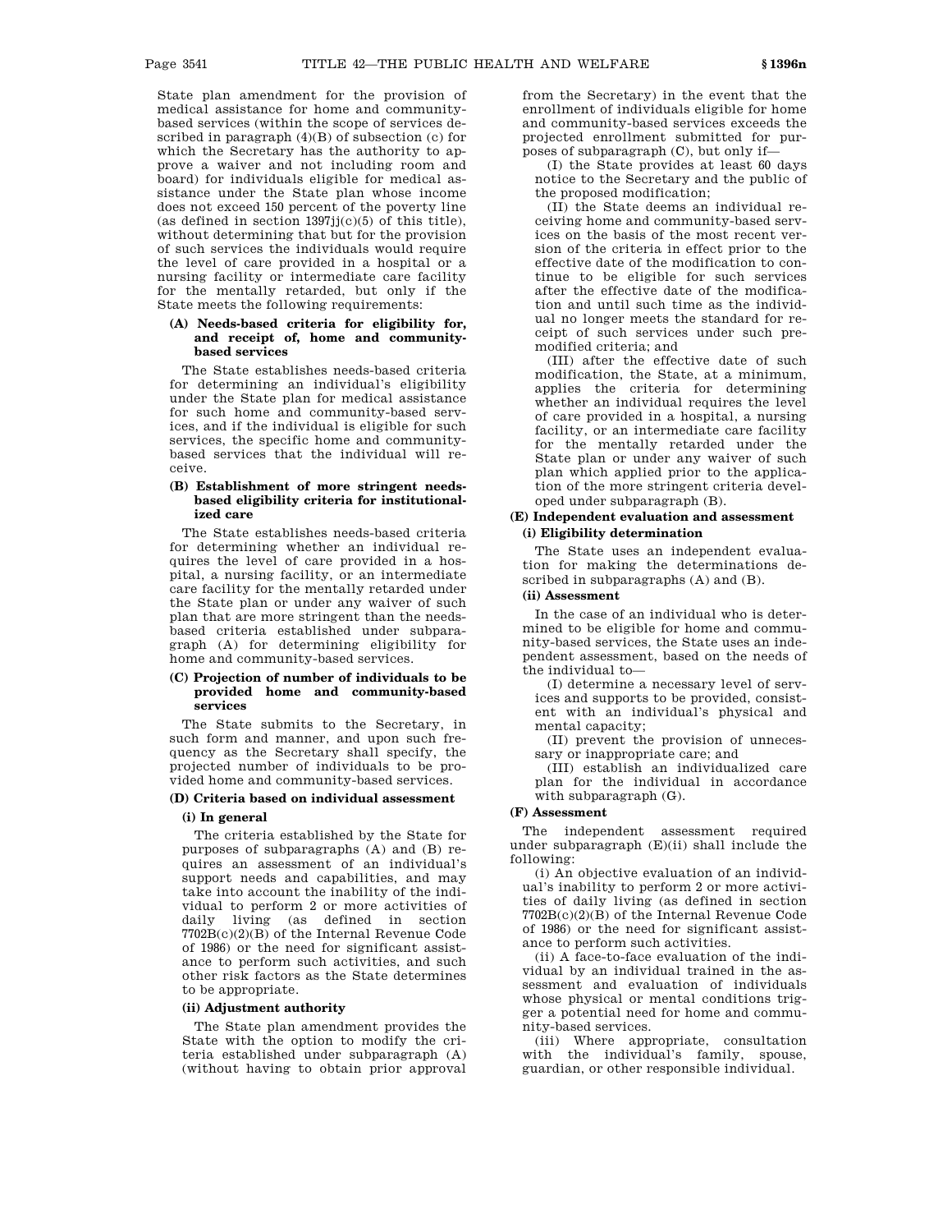State plan amendment for the provision of medical assistance for home and communitybased services (within the scope of services described in paragraph (4)(B) of subsection (c) for which the Secretary has the authority to approve a waiver and not including room and board) for individuals eligible for medical assistance under the State plan whose income does not exceed 150 percent of the poverty line (as defined in section  $1397j(c)(5)$  of this title), without determining that but for the provision of such services the individuals would require the level of care provided in a hospital or a nursing facility or intermediate care facility for the mentally retarded, but only if the State meets the following requirements:

## **(A) Needs-based criteria for eligibility for, and receipt of, home and communitybased services**

The State establishes needs-based criteria for determining an individual's eligibility under the State plan for medical assistance for such home and community-based services, and if the individual is eligible for such services, the specific home and communitybased services that the individual will receive.

## **(B) Establishment of more stringent needsbased eligibility criteria for institutionalized care**

The State establishes needs-based criteria for determining whether an individual requires the level of care provided in a hospital, a nursing facility, or an intermediate care facility for the mentally retarded under the State plan or under any waiver of such plan that are more stringent than the needsbased criteria established under subparagraph (A) for determining eligibility for home and community-based services.

## **(C) Projection of number of individuals to be provided home and community-based services**

The State submits to the Secretary, in such form and manner, and upon such frequency as the Secretary shall specify, the projected number of individuals to be provided home and community-based services.

# **(D) Criteria based on individual assessment**

## **(i) In general**

The criteria established by the State for purposes of subparagraphs (A) and (B) requires an assessment of an individual's support needs and capabilities, and may take into account the inability of the individual to perform 2 or more activities of daily living (as defined in section 7702B(c)(2)(B) of the Internal Revenue Code of 1986) or the need for significant assistance to perform such activities, and such other risk factors as the State determines to be appropriate.

# **(ii) Adjustment authority**

The State plan amendment provides the State with the option to modify the criteria established under subparagraph (A) (without having to obtain prior approval

from the Secretary) in the event that the enrollment of individuals eligible for home and community-based services exceeds the projected enrollment submitted for purposes of subparagraph (C), but only if—

(I) the State provides at least 60 days notice to the Secretary and the public of the proposed modification;

(II) the State deems an individual receiving home and community-based services on the basis of the most recent version of the criteria in effect prior to the effective date of the modification to continue to be eligible for such services after the effective date of the modification and until such time as the individual no longer meets the standard for receipt of such services under such premodified criteria; and

(III) after the effective date of such modification, the State, at a minimum, applies the criteria for determining whether an individual requires the level of care provided in a hospital, a nursing facility, or an intermediate care facility for the mentally retarded under the State plan or under any waiver of such plan which applied prior to the application of the more stringent criteria developed under subparagraph (B).

## **(E) Independent evaluation and assessment (i) Eligibility determination**

The State uses an independent evaluation for making the determinations described in subparagraphs (A) and (B).

# **(ii) Assessment**

In the case of an individual who is determined to be eligible for home and community-based services, the State uses an independent assessment, based on the needs of the individual to—

(I) determine a necessary level of services and supports to be provided, consistent with an individual's physical and mental capacity;

(II) prevent the provision of unnecessary or inappropriate care; and

(III) establish an individualized care plan for the individual in accordance with subparagraph (G).

# **(F) Assessment**

The independent assessment required under subparagraph (E)(ii) shall include the following:

(i) An objective evaluation of an individual's inability to perform 2 or more activities of daily living (as defined in section 7702B(c)(2)(B) of the Internal Revenue Code of 1986) or the need for significant assistance to perform such activities.

(ii) A face-to-face evaluation of the individual by an individual trained in the assessment and evaluation of individuals whose physical or mental conditions trigger a potential need for home and community-based services.

(iii) Where appropriate, consultation with the individual's family, spouse, guardian, or other responsible individual.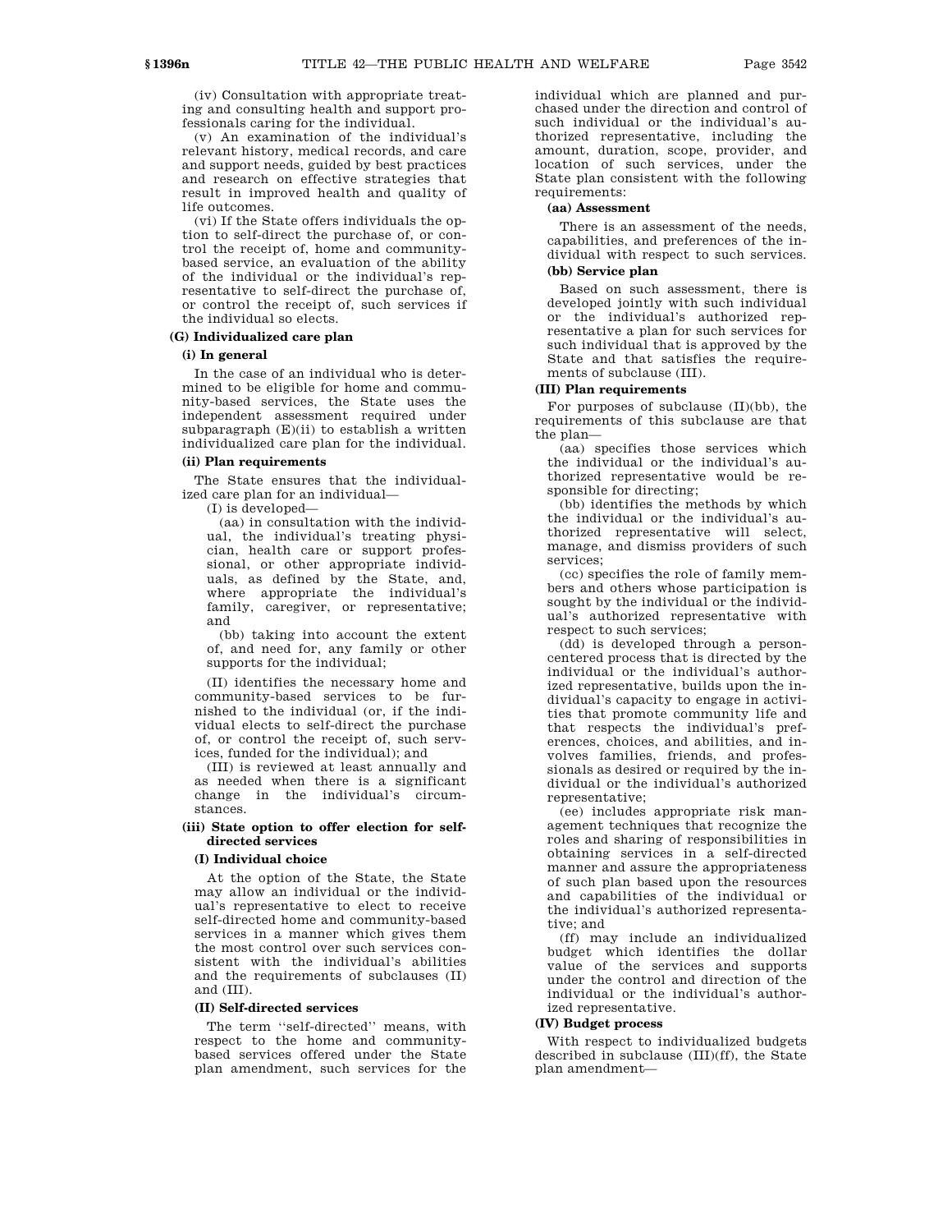(iv) Consultation with appropriate treating and consulting health and support professionals caring for the individual.

(v) An examination of the individual's relevant history, medical records, and care and support needs, guided by best practices and research on effective strategies that result in improved health and quality of life outcomes.

(vi) If the State offers individuals the option to self-direct the purchase of, or control the receipt of, home and communitybased service, an evaluation of the ability of the individual or the individual's representative to self-direct the purchase of, or control the receipt of, such services if the individual so elects.

## **(G) Individualized care plan**

### **(i) In general**

In the case of an individual who is determined to be eligible for home and community-based services, the State uses the independent assessment required under subparagraph (E)(ii) to establish a written individualized care plan for the individual.

### **(ii) Plan requirements**

The State ensures that the individualized care plan for an individual—

(I) is developed—

(aa) in consultation with the individual, the individual's treating physician, health care or support professional, or other appropriate individuals, as defined by the State, and, where appropriate the individual's family, caregiver, or representative; and

(bb) taking into account the extent of, and need for, any family or other supports for the individual;

(II) identifies the necessary home and community-based services to be furnished to the individual (or, if the individual elects to self-direct the purchase of, or control the receipt of, such services, funded for the individual); and

(III) is reviewed at least annually and as needed when there is a significant change in the individual's circumstances.

### **(iii) State option to offer election for selfdirected services**

### **(I) Individual choice**

At the option of the State, the State may allow an individual or the individual's representative to elect to receive self-directed home and community-based services in a manner which gives them the most control over such services consistent with the individual's abilities and the requirements of subclauses (II) and (III).

## **(II) Self-directed services**

The term ''self-directed'' means, with respect to the home and communitybased services offered under the State plan amendment, such services for the

individual which are planned and purchased under the direction and control of such individual or the individual's authorized representative, including the amount, duration, scope, provider, and location of such services, under the State plan consistent with the following requirements:

#### **(aa) Assessment**

There is an assessment of the needs, capabilities, and preferences of the individual with respect to such services.

## **(bb) Service plan**

Based on such assessment, there is developed jointly with such individual or the individual's authorized representative a plan for such services for such individual that is approved by the State and that satisfies the requirements of subclause (III).

### **(III) Plan requirements**

For purposes of subclause (II)(bb), the requirements of this subclause are that the plan—

(aa) specifies those services which the individual or the individual's authorized representative would be responsible for directing;

(bb) identifies the methods by which the individual or the individual's authorized representative will select, manage, and dismiss providers of such services;

(cc) specifies the role of family members and others whose participation is sought by the individual or the individual's authorized representative with respect to such services:

(dd) is developed through a personcentered process that is directed by the individual or the individual's authorized representative, builds upon the individual's capacity to engage in activities that promote community life and that respects the individual's preferences, choices, and abilities, and involves families, friends, and professionals as desired or required by the individual or the individual's authorized representative;

(ee) includes appropriate risk management techniques that recognize the roles and sharing of responsibilities in obtaining services in a self-directed manner and assure the appropriateness of such plan based upon the resources and capabilities of the individual or the individual's authorized representative; and

(ff) may include an individualized budget which identifies the dollar value of the services and supports under the control and direction of the individual or the individual's authorized representative.

### **(IV) Budget process**

With respect to individualized budgets described in subclause (III)(ff), the State plan amendment—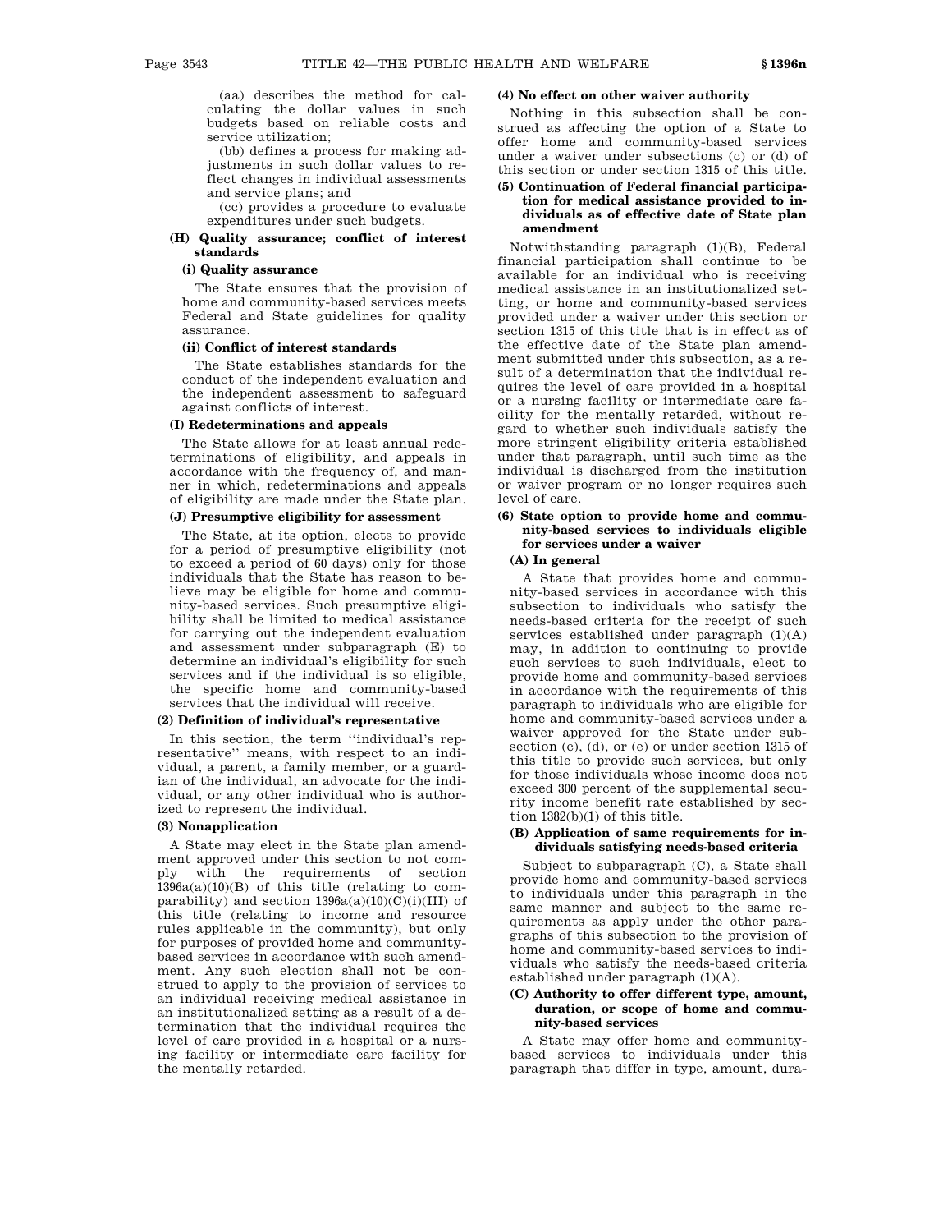(aa) describes the method for calculating the dollar values in such budgets based on reliable costs and service utilization;

(bb) defines a process for making adjustments in such dollar values to reflect changes in individual assessments and service plans; and

(cc) provides a procedure to evaluate expenditures under such budgets.

### **(H) Quality assurance; conflict of interest standards**

### **(i) Quality assurance**

The State ensures that the provision of home and community-based services meets Federal and State guidelines for quality assurance.

### **(ii) Conflict of interest standards**

The State establishes standards for the conduct of the independent evaluation and the independent assessment to safeguard against conflicts of interest.

### **(I) Redeterminations and appeals**

The State allows for at least annual redeterminations of eligibility, and appeals in accordance with the frequency of, and manner in which, redeterminations and appeals of eligibility are made under the State plan.

# **(J) Presumptive eligibility for assessment**

The State, at its option, elects to provide for a period of presumptive eligibility (not to exceed a period of 60 days) only for those individuals that the State has reason to believe may be eligible for home and community-based services. Such presumptive eligibility shall be limited to medical assistance for carrying out the independent evaluation and assessment under subparagraph (E) to determine an individual's eligibility for such services and if the individual is so eligible, the specific home and community-based services that the individual will receive.

## **(2) Definition of individual's representative**

In this section, the term ''individual's representative'' means, with respect to an individual, a parent, a family member, or a guardian of the individual, an advocate for the individual, or any other individual who is authorized to represent the individual.

### **(3) Nonapplication**

A State may elect in the State plan amendment approved under this section to not comply with the requirements of section  $1396a(a)(10)(B)$  of this title (relating to comparability) and section  $1396a(a)(10)(C)(i)(III)$  of this title (relating to income and resource rules applicable in the community), but only for purposes of provided home and communitybased services in accordance with such amendment. Any such election shall not be construed to apply to the provision of services to an individual receiving medical assistance in an institutionalized setting as a result of a determination that the individual requires the level of care provided in a hospital or a nursing facility or intermediate care facility for the mentally retarded.

### **(4) No effect on other waiver authority**

Nothing in this subsection shall be construed as affecting the option of a State to offer home and community-based services under a waiver under subsections (c) or (d) of this section or under section 1315 of this title.

## **(5) Continuation of Federal financial participation for medical assistance provided to individuals as of effective date of State plan amendment**

Notwithstanding paragraph (1)(B), Federal financial participation shall continue to be available for an individual who is receiving medical assistance in an institutionalized setting, or home and community-based services provided under a waiver under this section or section 1315 of this title that is in effect as of the effective date of the State plan amendment submitted under this subsection, as a result of a determination that the individual requires the level of care provided in a hospital or a nursing facility or intermediate care facility for the mentally retarded, without regard to whether such individuals satisfy the more stringent eligibility criteria established under that paragraph, until such time as the individual is discharged from the institution or waiver program or no longer requires such level of care.

# **(6) State option to provide home and community-based services to individuals eligible for services under a waiver**

### **(A) In general**

A State that provides home and community-based services in accordance with this subsection to individuals who satisfy the needs-based criteria for the receipt of such services established under paragraph (1)(A) may, in addition to continuing to provide such services to such individuals, elect to provide home and community-based services in accordance with the requirements of this paragraph to individuals who are eligible for home and community-based services under a waiver approved for the State under subsection (c), (d), or (e) or under section 1315 of this title to provide such services, but only for those individuals whose income does not exceed 300 percent of the supplemental security income benefit rate established by section 1382(b)(1) of this title.

### **(B) Application of same requirements for individuals satisfying needs-based criteria**

Subject to subparagraph (C), a State shall provide home and community-based services to individuals under this paragraph in the same manner and subject to the same requirements as apply under the other paragraphs of this subsection to the provision of home and community-based services to individuals who satisfy the needs-based criteria established under paragraph (1)(A).

### **(C) Authority to offer different type, amount, duration, or scope of home and community-based services**

A State may offer home and communitybased services to individuals under this paragraph that differ in type, amount, dura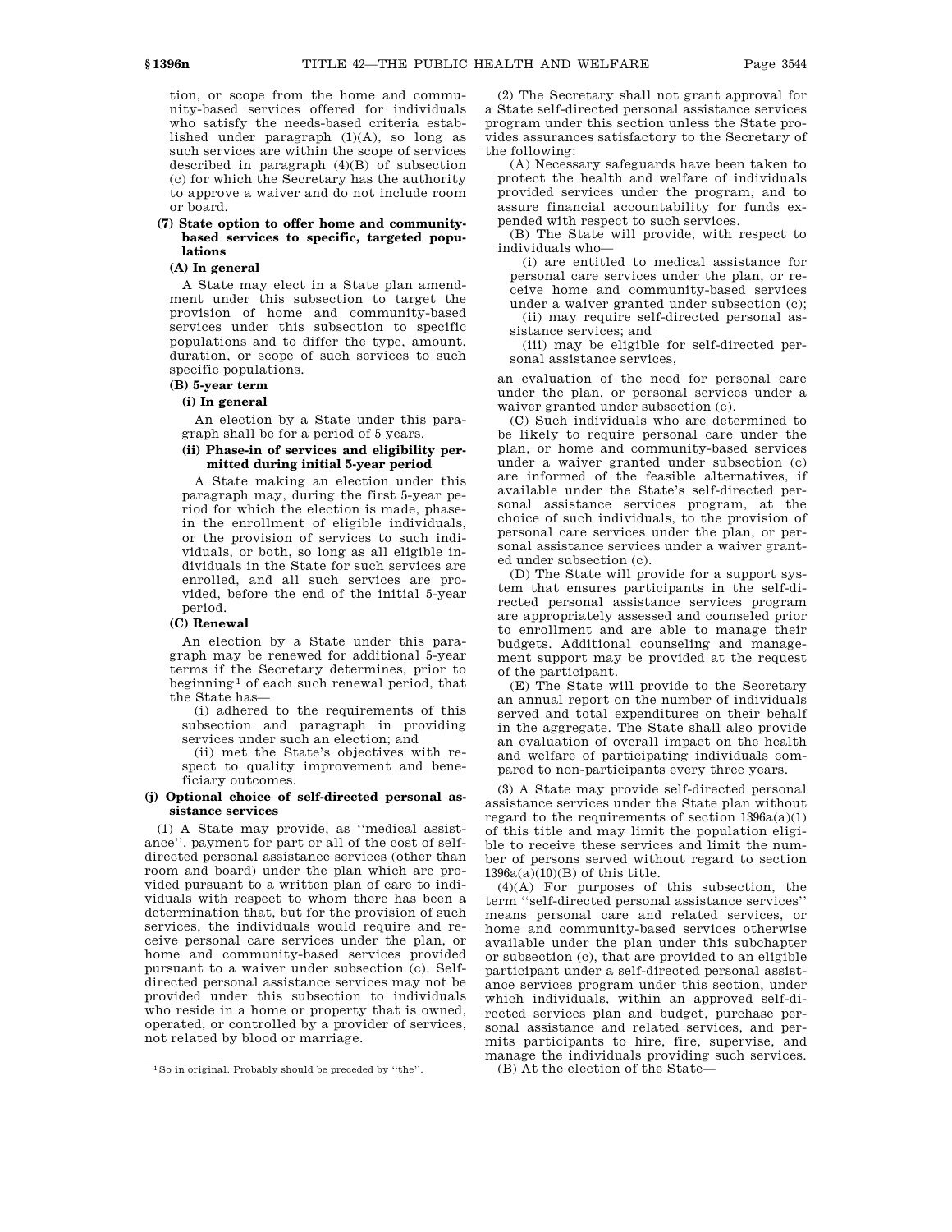tion, or scope from the home and community-based services offered for individuals who satisfy the needs-based criteria established under paragraph (1)(A), so long as such services are within the scope of services described in paragraph  $(4)(B)$  of subsection (c) for which the Secretary has the authority to approve a waiver and do not include room or board.

### **(7) State option to offer home and communitybased services to specific, targeted populations**

### **(A) In general**

A State may elect in a State plan amendment under this subsection to target the provision of home and community-based services under this subsection to specific populations and to differ the type, amount, duration, or scope of such services to such specific populations.

# **(B) 5-year term**

**(i) In general**

An election by a State under this paragraph shall be for a period of 5 years.

## **(ii) Phase-in of services and eligibility permitted during initial 5-year period**

A State making an election under this paragraph may, during the first 5-year period for which the election is made, phasein the enrollment of eligible individuals, or the provision of services to such individuals, or both, so long as all eligible individuals in the State for such services are enrolled, and all such services are provided, before the end of the initial 5-year period.

### **(C) Renewal**

An election by a State under this paragraph may be renewed for additional 5-year terms if the Secretary determines, prior to beginning 1 of each such renewal period, that the State has—

(i) adhered to the requirements of this subsection and paragraph in providing services under such an election; and

(ii) met the State's objectives with respect to quality improvement and beneficiary outcomes.

### **(j) Optional choice of self-directed personal assistance services**

(1) A State may provide, as ''medical assistance'', payment for part or all of the cost of selfdirected personal assistance services (other than room and board) under the plan which are provided pursuant to a written plan of care to individuals with respect to whom there has been a determination that, but for the provision of such services, the individuals would require and receive personal care services under the plan, or home and community-based services provided pursuant to a waiver under subsection (c). Selfdirected personal assistance services may not be provided under this subsection to individuals who reside in a home or property that is owned, operated, or controlled by a provider of services, not related by blood or marriage.

(2) The Secretary shall not grant approval for a State self-directed personal assistance services program under this section unless the State provides assurances satisfactory to the Secretary of the following:

(A) Necessary safeguards have been taken to protect the health and welfare of individuals provided services under the program, and to assure financial accountability for funds expended with respect to such services.

(B) The State will provide, with respect to individuals who—

(i) are entitled to medical assistance for personal care services under the plan, or receive home and community-based services under a waiver granted under subsection (c); (ii) may require self-directed personal assistance services; and

(iii) may be eligible for self-directed personal assistance services,

an evaluation of the need for personal care under the plan, or personal services under a waiver granted under subsection (c).

(C) Such individuals who are determined to be likely to require personal care under the plan, or home and community-based services under a waiver granted under subsection (c) are informed of the feasible alternatives, if available under the State's self-directed personal assistance services program, at the choice of such individuals, to the provision of personal care services under the plan, or personal assistance services under a waiver granted under subsection (c).

(D) The State will provide for a support system that ensures participants in the self-directed personal assistance services program are appropriately assessed and counseled prior to enrollment and are able to manage their budgets. Additional counseling and management support may be provided at the request of the participant.

(E) The State will provide to the Secretary an annual report on the number of individuals served and total expenditures on their behalf in the aggregate. The State shall also provide an evaluation of overall impact on the health and welfare of participating individuals compared to non-participants every three years.

(3) A State may provide self-directed personal assistance services under the State plan without regard to the requirements of section  $1396a(a)(1)$ of this title and may limit the population eligible to receive these services and limit the number of persons served without regard to section  $1396a(a)(10)(B)$  of this title.

(4)(A) For purposes of this subsection, the term ''self-directed personal assistance services'' means personal care and related services, or home and community-based services otherwise available under the plan under this subchapter or subsection (c), that are provided to an eligible participant under a self-directed personal assistance services program under this section, under which individuals, within an approved self-directed services plan and budget, purchase personal assistance and related services, and permits participants to hire, fire, supervise, and manage the individuals providing such services.

(B) At the election of the State—

<sup>1</sup>So in original. Probably should be preceded by ''the''.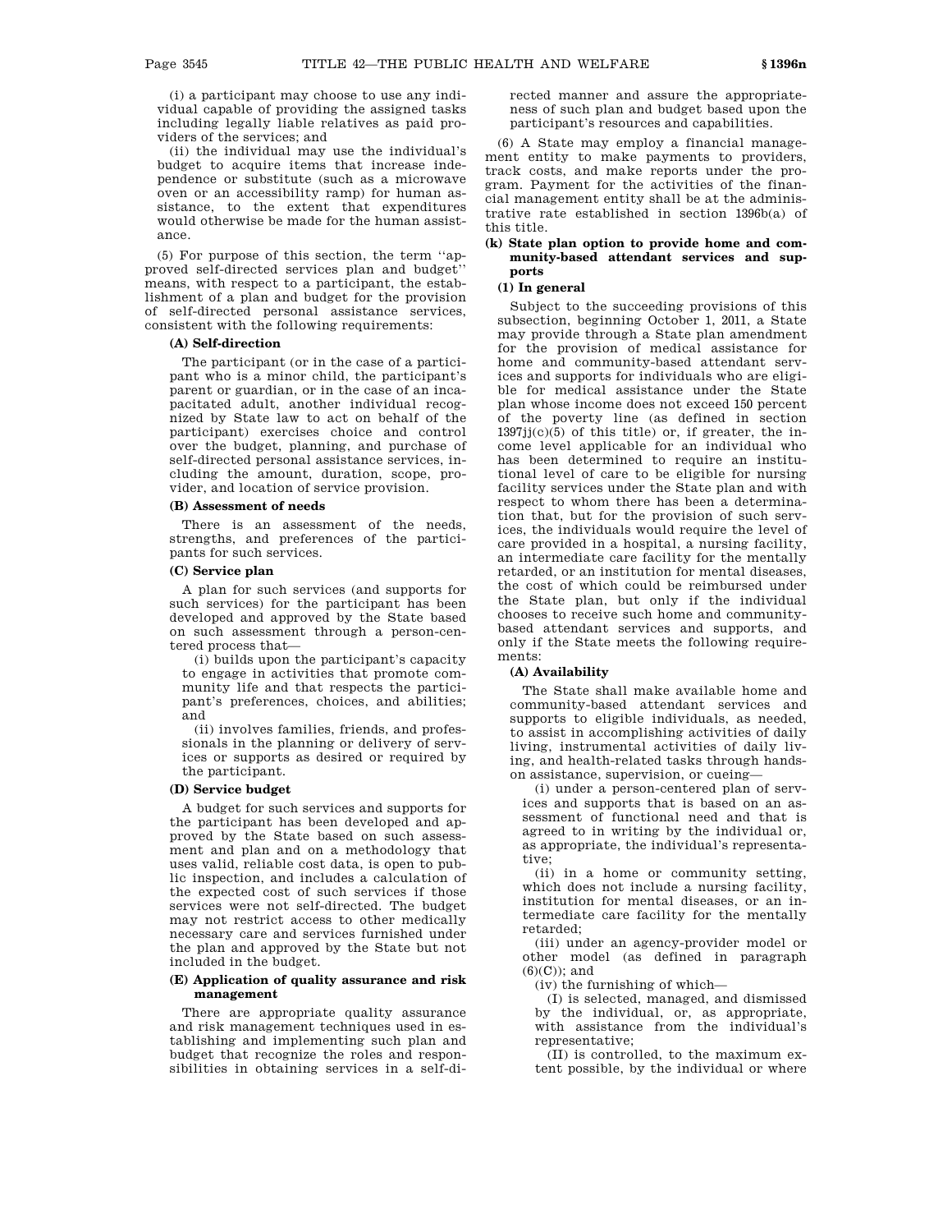(i) a participant may choose to use any individual capable of providing the assigned tasks including legally liable relatives as paid providers of the services; and

(ii) the individual may use the individual's budget to acquire items that increase independence or substitute (such as a microwave oven or an accessibility ramp) for human assistance, to the extent that expenditures would otherwise be made for the human assistance.

(5) For purpose of this section, the term ''approved self-directed services plan and budget'' means, with respect to a participant, the establishment of a plan and budget for the provision of self-directed personal assistance services, consistent with the following requirements:

### **(A) Self-direction**

The participant (or in the case of a participant who is a minor child, the participant's parent or guardian, or in the case of an incapacitated adult, another individual recognized by State law to act on behalf of the participant) exercises choice and control over the budget, planning, and purchase of self-directed personal assistance services, including the amount, duration, scope, provider, and location of service provision.

#### **(B) Assessment of needs**

There is an assessment of the needs, strengths, and preferences of the participants for such services.

## **(C) Service plan**

A plan for such services (and supports for such services) for the participant has been developed and approved by the State based on such assessment through a person-centered process that—

(i) builds upon the participant's capacity to engage in activities that promote community life and that respects the participant's preferences, choices, and abilities; and

(ii) involves families, friends, and professionals in the planning or delivery of services or supports as desired or required by the participant.

#### **(D) Service budget**

A budget for such services and supports for the participant has been developed and approved by the State based on such assessment and plan and on a methodology that uses valid, reliable cost data, is open to public inspection, and includes a calculation of the expected cost of such services if those services were not self-directed. The budget may not restrict access to other medically necessary care and services furnished under the plan and approved by the State but not included in the budget.

### **(E) Application of quality assurance and risk management**

There are appropriate quality assurance and risk management techniques used in establishing and implementing such plan and budget that recognize the roles and responsibilities in obtaining services in a self-directed manner and assure the appropriateness of such plan and budget based upon the participant's resources and capabilities.

(6) A State may employ a financial management entity to make payments to providers, track costs, and make reports under the program. Payment for the activities of the financial management entity shall be at the administrative rate established in section 1396b(a) of this title.

### **(k) State plan option to provide home and community-based attendant services and supports**

### **(1) In general**

Subject to the succeeding provisions of this subsection, beginning October 1, 2011, a State may provide through a State plan amendment for the provision of medical assistance for home and community-based attendant services and supports for individuals who are eligible for medical assistance under the State plan whose income does not exceed 150 percent of the poverty line (as defined in section  $1397ii(c)(5)$  of this title) or, if greater, the income level applicable for an individual who has been determined to require an institutional level of care to be eligible for nursing facility services under the State plan and with respect to whom there has been a determination that, but for the provision of such services, the individuals would require the level of care provided in a hospital, a nursing facility, an intermediate care facility for the mentally retarded, or an institution for mental diseases, the cost of which could be reimbursed under the State plan, but only if the individual chooses to receive such home and communitybased attendant services and supports, and only if the State meets the following requirements:

### **(A) Availability**

The State shall make available home and community-based attendant services and supports to eligible individuals, as needed, to assist in accomplishing activities of daily living, instrumental activities of daily living, and health-related tasks through handson assistance, supervision, or cueing—

(i) under a person-centered plan of services and supports that is based on an assessment of functional need and that is agreed to in writing by the individual or, as appropriate, the individual's representative;

(ii) in a home or community setting, which does not include a nursing facility, institution for mental diseases, or an intermediate care facility for the mentally retarded;

(iii) under an agency-provider model or other model (as defined in paragraph  $(6)(C)$ ; and

(iv) the furnishing of which—

(I) is selected, managed, and dismissed by the individual, or, as appropriate, with assistance from the individual's representative;

(II) is controlled, to the maximum extent possible, by the individual or where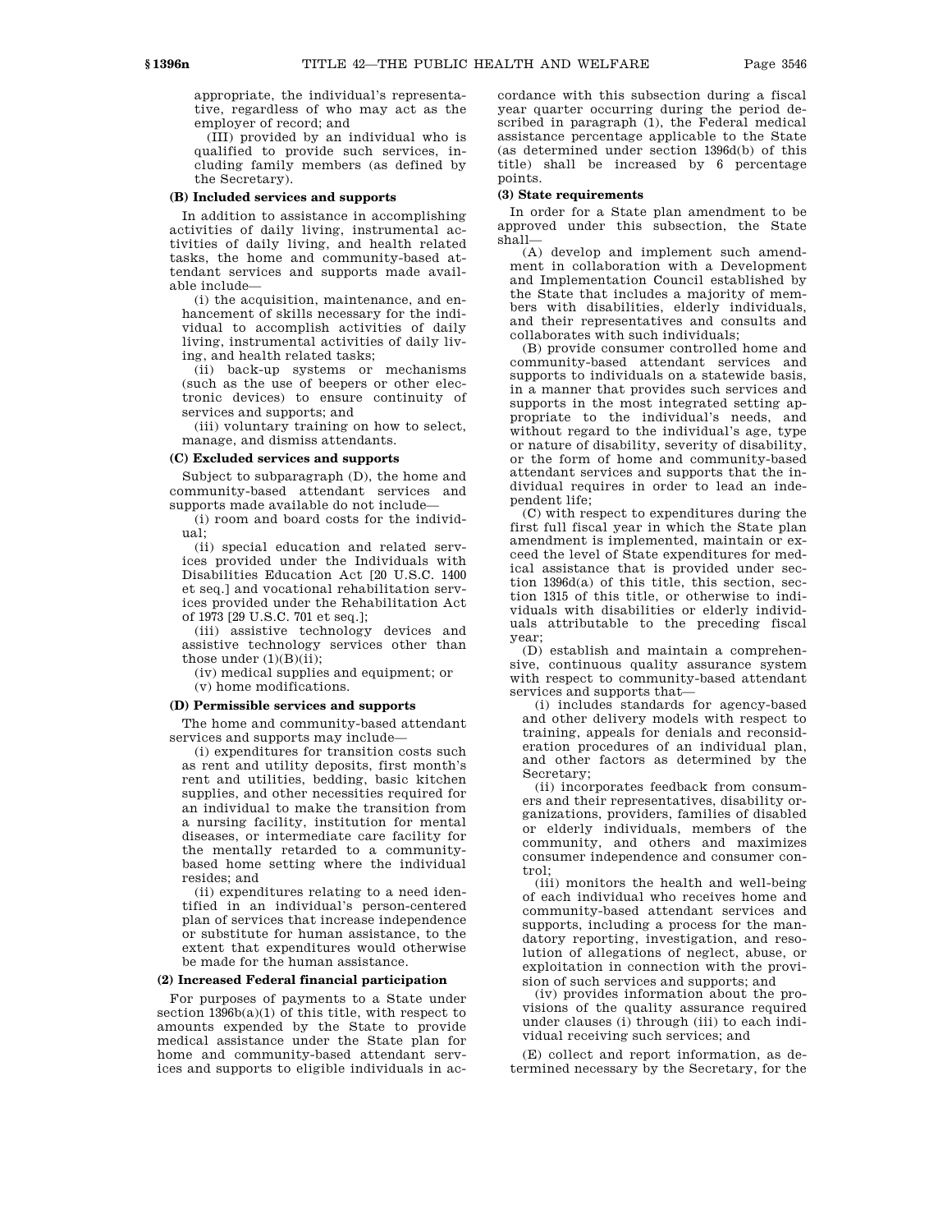appropriate, the individual's representative, regardless of who may act as the employer of record; and

(III) provided by an individual who is qualified to provide such services, including family members (as defined by the Secretary).

### **(B) Included services and supports**

In addition to assistance in accomplishing activities of daily living, instrumental activities of daily living, and health related tasks, the home and community-based attendant services and supports made available include—

(i) the acquisition, maintenance, and enhancement of skills necessary for the individual to accomplish activities of daily living, instrumental activities of daily living, and health related tasks;

(ii) back-up systems or mechanisms (such as the use of beepers or other electronic devices) to ensure continuity of services and supports; and

(iii) voluntary training on how to select, manage, and dismiss attendants.

### **(C) Excluded services and supports**

Subject to subparagraph (D), the home and community-based attendant services and supports made available do not include—

(i) room and board costs for the individual;

(ii) special education and related services provided under the Individuals with Disabilities Education Act [20 U.S.C. 1400 et seq.] and vocational rehabilitation services provided under the Rehabilitation Act of 1973 [29 U.S.C. 701 et seq.];

(iii) assistive technology devices and assistive technology services other than those under  $(1)(B)(ii)$ ;

(iv) medical supplies and equipment; or

(v) home modifications.

## **(D) Permissible services and supports**

The home and community-based attendant services and supports may include—

(i) expenditures for transition costs such as rent and utility deposits, first month's rent and utilities, bedding, basic kitchen supplies, and other necessities required for an individual to make the transition from a nursing facility, institution for mental diseases, or intermediate care facility for the mentally retarded to a communitybased home setting where the individual resides; and

(ii) expenditures relating to a need identified in an individual's person-centered plan of services that increase independence or substitute for human assistance, to the extent that expenditures would otherwise be made for the human assistance.

### **(2) Increased Federal financial participation**

For purposes of payments to a State under section  $1396b(a)(1)$  of this title, with respect to amounts expended by the State to provide medical assistance under the State plan for home and community-based attendant services and supports to eligible individuals in accordance with this subsection during a fiscal year quarter occurring during the period described in paragraph (1), the Federal medical assistance percentage applicable to the State (as determined under section 1396d(b) of this title) shall be increased by 6 percentage points.

### **(3) State requirements**

In order for a State plan amendment to be approved under this subsection, the State shall—

(A) develop and implement such amendment in collaboration with a Development and Implementation Council established by the State that includes a majority of members with disabilities, elderly individuals, and their representatives and consults and collaborates with such individuals;

(B) provide consumer controlled home and community-based attendant services and supports to individuals on a statewide basis, in a manner that provides such services and supports in the most integrated setting appropriate to the individual's needs, and without regard to the individual's age, type or nature of disability, severity of disability, or the form of home and community-based attendant services and supports that the individual requires in order to lead an independent life;

(C) with respect to expenditures during the first full fiscal year in which the State plan amendment is implemented, maintain or exceed the level of State expenditures for medical assistance that is provided under section 1396d(a) of this title, this section, section 1315 of this title, or otherwise to individuals with disabilities or elderly individuals attributable to the preceding fiscal year;

(D) establish and maintain a comprehensive, continuous quality assurance system with respect to community-based attendant services and supports that—

(i) includes standards for agency-based and other delivery models with respect to training, appeals for denials and reconsideration procedures of an individual plan, and other factors as determined by the Secretary;

(ii) incorporates feedback from consumers and their representatives, disability organizations, providers, families of disabled or elderly individuals, members of the community, and others and maximizes consumer independence and consumer control;

(iii) monitors the health and well-being of each individual who receives home and community-based attendant services and supports, including a process for the mandatory reporting, investigation, and resolution of allegations of neglect, abuse, or exploitation in connection with the provision of such services and supports; and

(iv) provides information about the provisions of the quality assurance required under clauses (i) through (iii) to each individual receiving such services; and

(E) collect and report information, as determined necessary by the Secretary, for the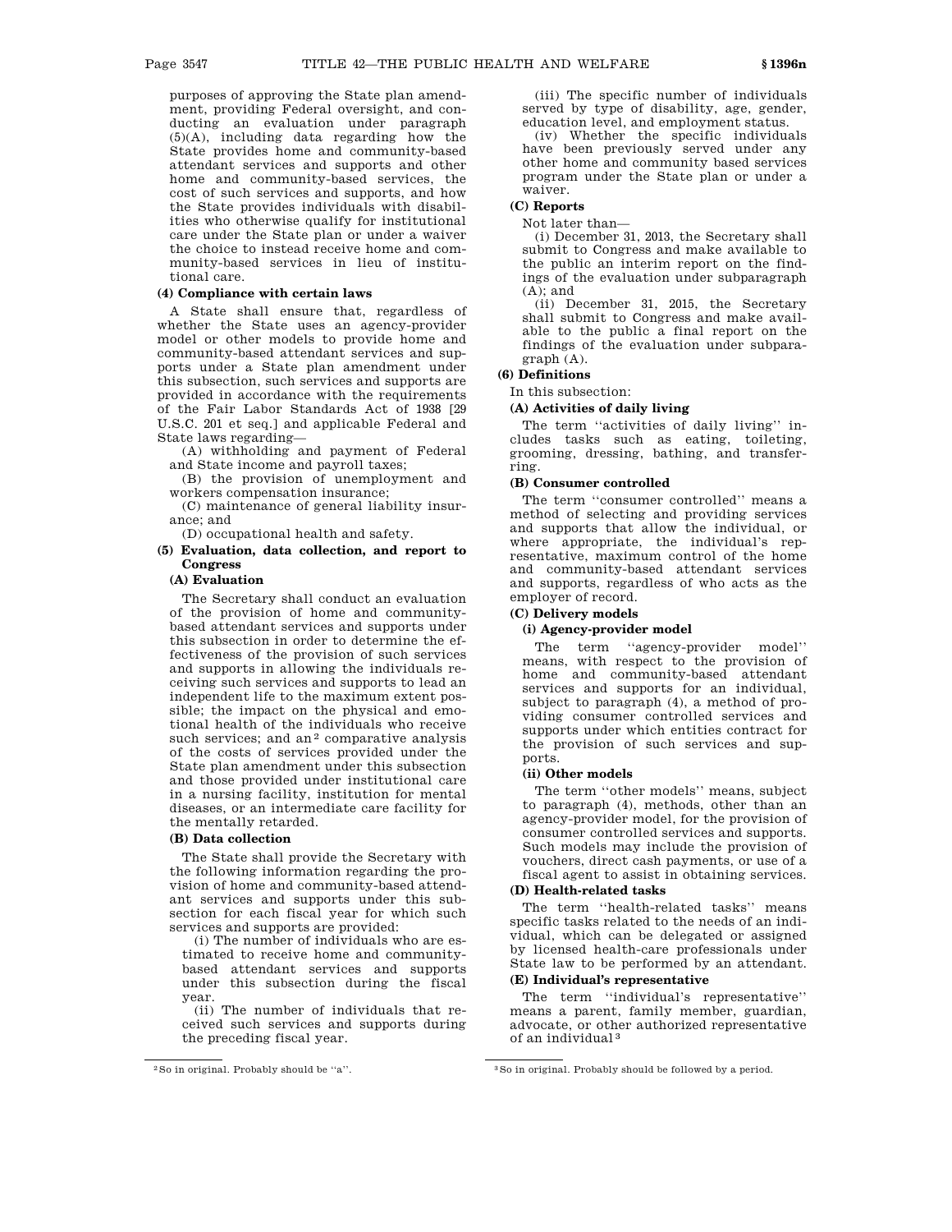purposes of approving the State plan amendment, providing Federal oversight, and conducting an evaluation under paragraph  $(5)(A)$ , including data regarding how the State provides home and community-based attendant services and supports and other home and community-based services, the cost of such services and supports, and how the State provides individuals with disabilities who otherwise qualify for institutional care under the State plan or under a waiver the choice to instead receive home and community-based services in lieu of institutional care.

### **(4) Compliance with certain laws**

A State shall ensure that, regardless of whether the State uses an agency-provider model or other models to provide home and community-based attendant services and supports under a State plan amendment under this subsection, such services and supports are provided in accordance with the requirements of the Fair Labor Standards Act of 1938 [29 U.S.C. 201 et seq.] and applicable Federal and State laws regarding—

(A) withholding and payment of Federal and State income and payroll taxes;

(B) the provision of unemployment and workers compensation insurance;

(C) maintenance of general liability insurance; and

(D) occupational health and safety.

**(5) Evaluation, data collection, and report to Congress**

## **(A) Evaluation**

The Secretary shall conduct an evaluation of the provision of home and communitybased attendant services and supports under this subsection in order to determine the effectiveness of the provision of such services and supports in allowing the individuals receiving such services and supports to lead an independent life to the maximum extent possible; the impact on the physical and emotional health of the individuals who receive such services; and an<sup>2</sup> comparative analysis of the costs of services provided under the State plan amendment under this subsection and those provided under institutional care in a nursing facility, institution for mental diseases, or an intermediate care facility for the mentally retarded.

## **(B) Data collection**

The State shall provide the Secretary with the following information regarding the provision of home and community-based attendant services and supports under this subsection for each fiscal year for which such services and supports are provided:

(i) The number of individuals who are estimated to receive home and communitybased attendant services and supports under this subsection during the fiscal year.

(ii) The number of individuals that received such services and supports during the preceding fiscal year.

(iii) The specific number of individuals served by type of disability, age, gender, education level, and employment status.

(iv) Whether the specific individuals have been previously served under any other home and community based services program under the State plan or under a waiver.

### **(C) Reports**

Not later than—

(i) December 31, 2013, the Secretary shall submit to Congress and make available to the public an interim report on the findings of the evaluation under subparagraph  $(A)$ ; and

(ii) December 31, 2015, the Secretary shall submit to Congress and make available to the public a final report on the findings of the evaluation under subparagraph (A).

## **(6) Definitions**

In this subsection:

## **(A) Activities of daily living**

The term ''activities of daily living'' includes tasks such as eating, toileting, grooming, dressing, bathing, and transferring.

#### **(B) Consumer controlled**

The term ''consumer controlled'' means a method of selecting and providing services and supports that allow the individual, or where appropriate, the individual's representative, maximum control of the home and community-based attendant services and supports, regardless of who acts as the employer of record.

### **(C) Delivery models**

### **(i) Agency-provider model**

The term ''agency-provider model'' means, with respect to the provision of home and community-based attendant services and supports for an individual, subject to paragraph (4), a method of providing consumer controlled services and supports under which entities contract for the provision of such services and supports.

#### **(ii) Other models**

The term ''other models'' means, subject to paragraph (4), methods, other than an agency-provider model, for the provision of consumer controlled services and supports. Such models may include the provision of vouchers, direct cash payments, or use of a fiscal agent to assist in obtaining services.

### **(D) Health-related tasks**

The term ''health-related tasks'' means specific tasks related to the needs of an individual, which can be delegated or assigned by licensed health-care professionals under State law to be performed by an attendant. **(E) Individual's representative**

The term "individual's representative" means a parent, family member, guardian, advocate, or other authorized representative of an individual 3

<sup>&</sup>lt;sup>2</sup>So in original. Probably should be ''a''.  $^{3}$ So in original. Probably should be followed by a period.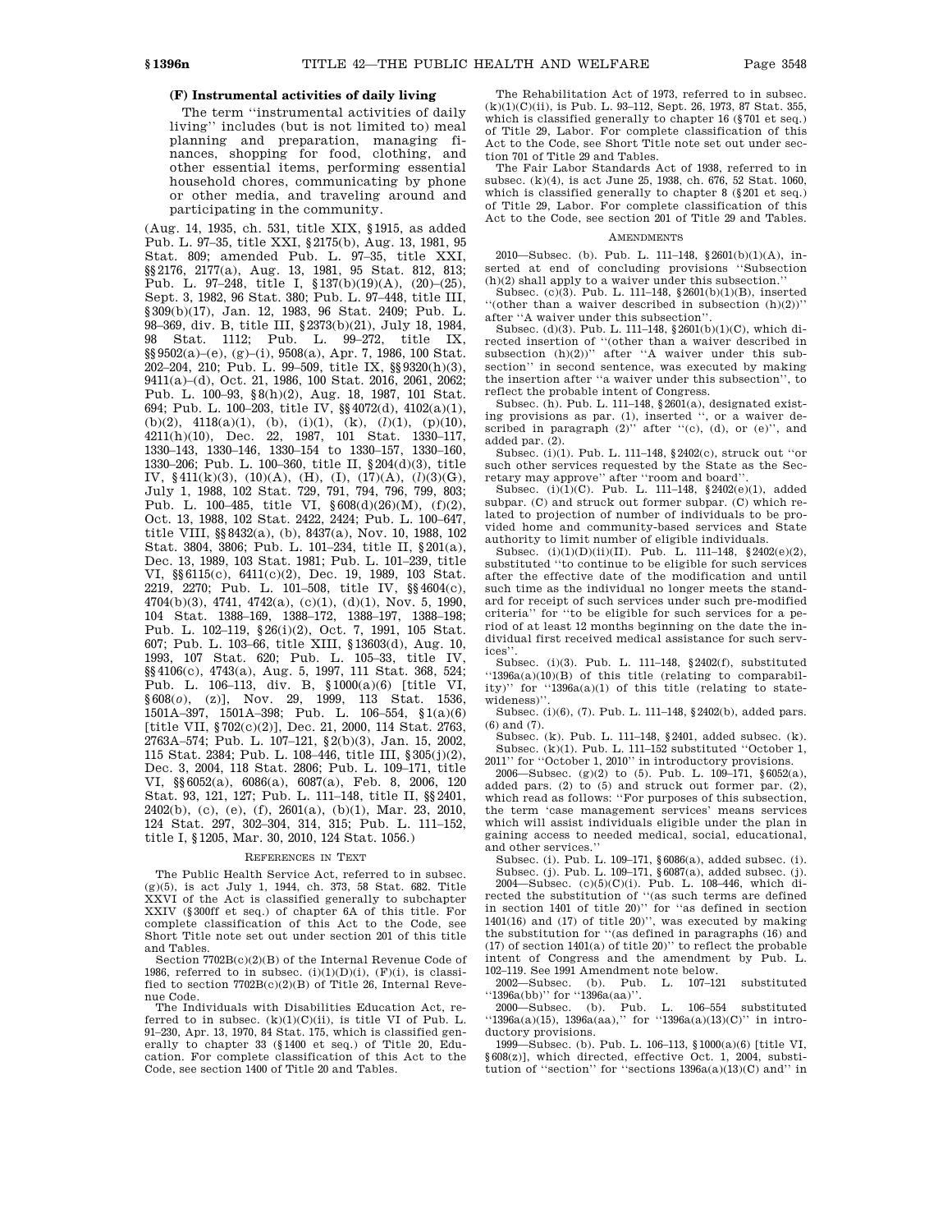### **(F) Instrumental activities of daily living**

The term ''instrumental activities of daily living'' includes (but is not limited to) meal planning and preparation, managing finances, shopping for food, clothing, and other essential items, performing essential household chores, communicating by phone or other media, and traveling around and participating in the community.

(Aug. 14, 1935, ch. 531, title XIX, §1915, as added Pub. L. 97–35, title XXI, §2175(b), Aug. 13, 1981, 95 Stat. 809; amended Pub. L. 97–35, title XXI, §§2176, 2177(a), Aug. 13, 1981, 95 Stat. 812, 813; Pub. L. 97–248, title I, §137(b)(19)(A), (20)–(25), Sept. 3, 1982, 96 Stat. 380; Pub. L. 97–448, title III, §309(b)(17), Jan. 12, 1983, 96 Stat. 2409; Pub. L. 98–369, div. B, title III, §2373(b)(21), July 18, 1984, 98 Stat. 1112; Pub. L. 99–272, title IX, §§9502(a)–(e), (g)–(i), 9508(a), Apr. 7, 1986, 100 Stat. 202–204, 210; Pub. L. 99–509, title IX, §§9320(h)(3), 9411(a)–(d), Oct. 21, 1986, 100 Stat. 2016, 2061, 2062; Pub. L. 100–93, §8(h)(2), Aug. 18, 1987, 101 Stat. 694; Pub. L. 100–203, title IV, §§4072(d), 4102(a)(1), (b)(2), 4118(a)(1), (b), (i)(1), (k), (*l*)(1), (p)(10), 4211(h)(10), Dec. 22, 1987, 101 Stat. 1330–117, 1330–143, 1330–146, 1330–154 to 1330–157, 1330–160, 1330–206; Pub. L. 100–360, title II, §204(d)(3), title IV, §411(k)(3), (10)(A), (H), (I), (17)(A), (*l*)(3)(G), July 1, 1988, 102 Stat. 729, 791, 794, 796, 799, 803; Pub. L. 100–485, title VI, §608(d)(26)(M), (f)(2), Oct. 13, 1988, 102 Stat. 2422, 2424; Pub. L. 100–647, title VIII, §§8432(a), (b), 8437(a), Nov. 10, 1988, 102 Stat. 3804, 3806; Pub. L. 101–234, title II, §201(a), Dec. 13, 1989, 103 Stat. 1981; Pub. L. 101–239, title VI, §§6115(c), 6411(c)(2), Dec. 19, 1989, 103 Stat. 2219, 2270; Pub. L. 101–508, title IV, §§4604(c), 4704(b)(3), 4741, 4742(a), (c)(1), (d)(1), Nov. 5, 1990, 104 Stat. 1388–169, 1388–172, 1388–197, 1388–198; Pub. L. 102–119, §26(i)(2), Oct. 7, 1991, 105 Stat. 607; Pub. L. 103–66, title XIII, §13603(d), Aug. 10, 1993, 107 Stat. 620; Pub. L. 105–33, title IV, §§4106(c), 4743(a), Aug. 5, 1997, 111 Stat. 368, 524; Pub. L. 106–113, div. B, §1000(a)(6) [title VI, §608(*o*), (z)], Nov. 29, 1999, 113 Stat. 1536, 1501A–397, 1501A–398; Pub. L. 106–554, §1(a)(6) [title VII, §702(c)(2)], Dec. 21, 2000, 114 Stat. 2763, 2763A–574; Pub. L. 107–121, §2(b)(3), Jan. 15, 2002, 115 Stat. 2384; Pub. L. 108–446, title III, §305(j)(2), Dec. 3, 2004, 118 Stat. 2806; Pub. L. 109–171, title VI, §§6052(a), 6086(a), 6087(a), Feb. 8, 2006, 120 Stat. 93, 121, 127; Pub. L. 111–148, title II, §§2401, 2402(b), (c), (e), (f), 2601(a), (b)(1), Mar. 23, 2010, 124 Stat. 297, 302–304, 314, 315; Pub. L. 111–152, title I, §1205, Mar. 30, 2010, 124 Stat. 1056.)

#### REFERENCES IN TEXT

The Public Health Service Act, referred to in subsec. (g)(5), is act July 1, 1944, ch. 373, 58 Stat. 682. Title XXVI of the Act is classified generally to subchapter XXIV (§300ff et seq.) of chapter 6A of this title. For complete classification of this Act to the Code, see Short Title note set out under section 201 of this title and Tables.

Section 7702B(c)(2)(B) of the Internal Revenue Code of 1986, referred to in subsec.  $(i)(1)(D)(i)$ ,  $(F)(i)$ , is classified to section 7702B(c)(2)(B) of Title 26, Internal Revenue Code.

The Individuals with Disabilities Education Act, referred to in subsec.  $(k)(1)(C)(ii)$ , is title VI of Pub. L. 91–230, Apr. 13, 1970, 84 Stat. 175, which is classified generally to chapter 33 (§1400 et seq.) of Title 20, Education. For complete classification of this Act to the Code, see section 1400 of Title 20 and Tables.

The Rehabilitation Act of 1973, referred to in subsec. (k)(1)(C)(ii), is Pub. L. 93–112, Sept. 26, 1973, 87 Stat. 355, which is classified generally to chapter 16 (§701 et seq.) of Title 29, Labor. For complete classification of this Act to the Code, see Short Title note set out under section 701 of Title 29 and Tables.

The Fair Labor Standards Act of 1938, referred to in subsec. (k)(4), is act June 25, 1938, ch. 676, 52 Stat. 1060, which is classified generally to chapter 8 (§201 et seq.) of Title 29, Labor. For complete classification of this Act to the Code, see section 201 of Title 29 and Tables.

#### **AMENDMENTS**

2010—Subsec. (b). Pub. L. 111–148, §2601(b)(1)(A), inserted at end of concluding provisions ''Subsection (h)(2) shall apply to a waiver under this subsection.''

Subsec. (c)(3). Pub. L. 111–148, §2601(b)(1)(B), inserted "(other than a waiver described in subsection  $(h)(2)$ )" after ''A waiver under this subsection''.

Subsec. (d)(3). Pub. L. 111–148, §2601(b)(1)(C), which directed insertion of ''(other than a waiver described in subsection  $(h)(2)$ )" after "A waiver under this subsection'' in second sentence, was executed by making the insertion after ''a waiver under this subsection'', to reflect the probable intent of Congress.

Subsec.  $(h)$ . Pub. L. 111–148, §2601(a), designated existing provisions as par. (1), inserted '', or a waiver described in paragraph (2)" after "(c), (d), or (e)", and added par. (2).

Subsec. (i)(1). Pub. L. 111–148, §2402(c), struck out ''or such other services requested by the State as the Secretary may approve'' after ''room and board''.

Subsec.  $(i)(1)(C)$ . Pub. L. 111–148, §2402(e)(1), added subpar. (C) and struck out former subpar. (C) which related to projection of number of individuals to be provided home and community-based services and State authority to limit number of eligible individuals.

Subsec. (i)(1)(D)(ii)(II). Pub. L. 111–148,  $§2402(e)(2)$ , substituted ''to continue to be eligible for such services after the effective date of the modification and until such time as the individual no longer meets the standard for receipt of such services under such pre-modified criteria'' for ''to be eligible for such services for a period of at least 12 months beginning on the date the individual first received medical assistance for such services''.

Subsec. (i)(3). Pub. L. 111–148, §2402(f), substituted  $``1396a(a)(10)(B)$  of this title (relating to comparability)'' for ''1396a(a)(1) of this title (relating to statewideness)'

Subsec. (i)(6), (7). Pub. L. 111–148, §2402(b), added pars. (6) and (7).

Subsec. (k). Pub. L. 111–148, §2401, added subsec. (k). Subsec.  $(k)(1)$ . Pub. L. 111–152 substituted "October 1, 2011'' for ''October 1, 2010'' in introductory provisions.

2006—Subsec. (g)(2) to (5). Pub. L. 109–171, §6052(a), added pars. (2) to (5) and struck out former par. (2), which read as follows: ''For purposes of this subsection, the term 'case management services' means services which will assist individuals eligible under the plan in gaining access to needed medical, social, educational, and other services.''

Subsec. (i). Pub. L. 109–171, §6086(a), added subsec. (i).

Subsec. (j). Pub. L. 109–171, §6087(a), added subsec. (j). 2004—Subsec. (c)(5)(C)(i). Pub. L. 108–446, which directed the substitution of ''(as such terms are defined in section 1401 of title 20)'' for ''as defined in section  $1401(16)$  and  $(17)$  of title  $20)$ ", was executed by making the substitution for ''(as defined in paragraphs (16) and (17) of section 1401(a) of title 20)'' to reflect the probable intent of Congress and the amendment by Pub. L. 102–119. See 1991 Amendment note below.

2002—Subsec. (b). Pub. L. 107–121 substituted ''1396a(bb)'' for ''1396a(aa)''.

2000—Subsec. (b). Pub. L. 106–554 substituted  $^{1200}$  Existence (2), 1396a(aa)," for  $^{121}$  1396a(a)(13)(C)" in introductory provisions.

1999—Subsec. (b). Pub. L. 106–113,  $\set{1000(a)(6)}$  [title VI, §608(z)], which directed, effective Oct. 1, 2004, substitution of ''section'' for ''sections 1396a(a)(13)(C) and'' in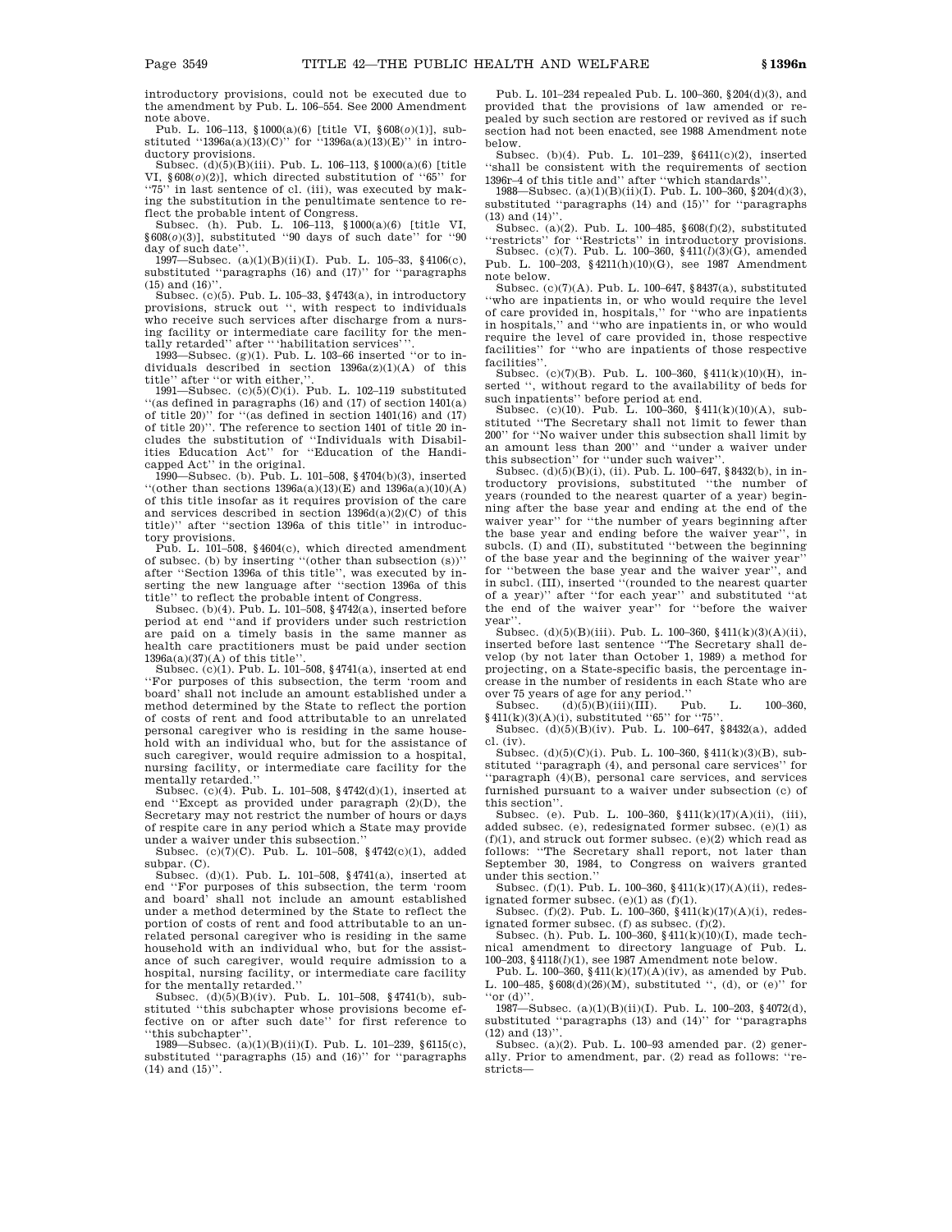introductory provisions, could not be executed due to the amendment by Pub. L. 106–554. See 2000 Amendment note above.

Pub. L. 106–113, §1000(a)(6) [title VI, §608(*o*)(1)], substituted "1396a(a)(13)(C)" for "1396a(a)(13)(E)" in introductory provisions.

Subsec. (d)(5)(B)(iii). Pub. L. 106–113, §1000(a)(6) [title VI, §608(*o*)(2)], which directed substitution of ''65'' for ''75'' in last sentence of cl. (iii). was executed by mak-' in last sentence of cl. (iii), was executed by making the substitution in the penultimate sentence to reflect the probable intent of Congress.

Subsec. (h). Pub. L. 106–113, §1000(a)(6) [title VI, §608(*o*)(3)], substituted ''90 days of such date'' for ''90

day of such date''. 1997—Subsec. (a)(1)(B)(ii)(I). Pub. L. 105–33, §4106(c), substituted ''paragraphs (16) and (17)'' for ''paragraphs (15) and (16)''.

Subsec. (c)(5). Pub. L. 105–33, §4743(a), in introductory provisions, struck out '', with respect to individuals who receive such services after discharge from a nursing facility or intermediate care facility for the mentally retarded'' after '''habilitation services'''.

1993—Subsec. (g)(1). Pub. L. 103–66 inserted ''or to individuals described in section  $1396a(z)(1)(A)$  of this title'' after ''or with either,''. 1991—Subsec. (c)(5)(C)(i). Pub. L. 102–119 substituted

''(as defined in paragraphs (16) and (17) of section 1401(a) of title 20)'' for ''(as defined in section 1401(16) and (17) of title 20)''. The reference to section 1401 of title 20 includes the substitution of ''Individuals with Disabilities Education Act'' for ''Education of the Handicapped Act'' in the original.

1990—Subsec. (b). Pub. L. 101–508, §4704(b)(3), inserted "(other than sections  $1396a(a)(13)(E)$  and  $1396a(a)(10)(A)$ of this title insofar as it requires provision of the care and services described in section 1396d(a)(2)(C) of this title)'' after ''section 1396a of this title'' in introductory provisions.

Pub. L. 101–508, §4604(c), which directed amendment of subsec. (b) by inserting ''(other than subsection (s))'' after ''Section 1396a of this title'', was executed by in-serting the new language after ''section 1396a of this

title'' to reflect the probable intent of Congress. Subsec. (b)(4). Pub. L. 101–508, §4742(a), inserted before period at end ''and if providers under such restriction are paid on a timely basis in the same manner as health care practitioners must be paid under section  $1396a(a)(37)(\overline{A})$  of this title'.

Subsec.  $(c)(1)$ . Pub. L. 101–508, §4741(a), inserted at end ''For purposes of this subsection, the term 'room and board' shall not include an amount established under a method determined by the State to reflect the portion of costs of rent and food attributable to an unrelated personal caregiver who is residing in the same household with an individual who, but for the assistance of such caregiver, would require admission to a hospital, nursing facility, or intermediate care facility for the mentally retarded.''

Subsec. (c)(4). Pub. L. 101–508, §4742(d)(1), inserted at end ''Except as provided under paragraph (2)(D), the Secretary may not restrict the number of hours or days of respite care in any period which a State may provide

under a waiver under this subsection.'' Subsec. (c)(7)(C). Pub. L. 101–508, §4742(c)(1), added subpar. (C). Subsec. (d)(1). Pub. L. 101–508, §4741(a), inserted at

end ''For purposes of this subsection, the term 'room and board' shall not include an amount established under a method determined by the State to reflect the portion of costs of rent and food attributable to an unrelated personal caregiver who is residing in the same household with an individual who, but for the assistance of such caregiver, would require admission to a hospital, nursing facility, or intermediate care facility for the mentally retarded.

Subsec. (d)(5)(B)(iv). Pub. L. 101–508, §4741(b), substituted "this subchapter whose provisions become effective on or after such date'' for first reference to ''this subchapter''.

1989—Subsec. (a)(1)(B)(ii)(I). Pub. L. 101–239, §6115(c), substituted ''paragraphs (15) and (16)'' for ''paragraphs  $(14)$  and  $(15)$  ''.

Pub. L. 101–234 repealed Pub. L. 100–360, §204(d)(3), and provided that the provisions of law amended or repealed by such section are restored or revived as if such section had not been enacted, see 1988 Amendment note below.

Subsec. (b)(4). Pub. L. 101–239, §6411(c)(2), inserted ''shall be consistent with the requirements of section 1396r–4 of this title and'' after ''which standards''. 1988—Subsec. (a)(1)(B)(ii)(I). Pub. L. 100–360, §204(d)(3),

substituted ''paragraphs (14) and (15)'' for ''paragraphs (13) and (14)"

Subsec. (a)(2). Pub. L. 100–485, §608(f)(2), substituted ''restricts'' for ''Restricts'' in introductory provisions. Subsec. (c)(7). Pub. L. 100–360, §411(*l*)(3)(G), amended

Pub. L. 100–203, §4211(h)(10)(G), see 1987 Amendment note below.

Subsec. (c)(7)(A). Pub. L. 100–647, §8437(a), substituted ''who are inpatients in, or who would require the level of care provided in, hospitals,'' for ''who are inpatients in hospitals,'' and ''who are inpatients in, or who would require the level of care provided in, those respective facilities'' for ''who are inpatients of those respective facilities''.

Subsec. (c)(7)(B). Pub. L. 100–360, §411(k)(10)(H), inserted '', without regard to the availability of beds for such inpatients'' before period at end.

Subsec. (c)(10). Pub. L. 100–360, §411(k)(10)(A), substituted ''The Secretary shall not limit to fewer than 200'' for ''No waiver under this subsection shall limit by an amount less than 200'' and ''under a waiver under this subsection'' for ''under such waiver''.

Subsec. (d)(5)(B)(i), (ii). Pub. L. 100–647, §8432(b), in introductory provisions, substituted ''the number of years (rounded to the nearest quarter of a year) beginning after the base year and ending at the end of the waiver year'' for ''the number of years beginning after the base year and ending before the waiver year'', in subcls. (I) and (II), substituted ''between the beginning of the base year and the beginning of the waiver year'' for ''between the base year and the waiver year'', and in subcl. (III), inserted ''(rounded to the nearest quarter of a year)'' after ''for each year'' and substituted ''at the end of the waiver year'' for ''before the waiver year''.

Subsec. (d)(5)(B)(iii). Pub. L. 100–360, §411(k)(3)(A)(ii), inserted before last sentence ''The Secretary shall develop (by not later than October 1, 1989) a method for projecting, on a State-specific basis, the percentage increase in the number of residents in each State who are over 75 years of age for any period.''<br>Subsec. (d)(5)(B)(iii)(III). Pub.

Subsec. (d)(5)(B)(iii)(III). Pub. L. 100–360, §411(k)(3)(A)(i), substituted ''65'' for ''75''. Subsec. (d)(5)(B)(iv). Pub. L. 100–647, §8432(a), added

cl. (iv).

Subsec. (d)(5)(C)(i). Pub. L. 100–360, §411(k)(3)(B), substituted "paragraph (4), and personal care services" for ''paragraph (4)(B), personal care services, and services furnished pursuant to a waiver under subsection (c) of this section''.

Subsec. (e). Pub. L. 100–360,  $\frac{411(k)(17)(A)(ii)}{i}$ , (iii), added subsec. (e), redesignated former subsec. (e)(1) as  $(f)(1)$ , and struck out former subsec.  $(e)(2)$  which read as follows: ''The Secretary shall report, not later than September 30, 1984, to Congress on waivers granted under this section.''

Subsec.  $(f)(1)$ . Pub. L. 100–360, §411(k)(17)(A)(ii), redes-

ignated former subsec.  $(e)(1)$  as  $(f)(1)$ .<br>Subsec.  $(f)(2)$ . Pub. L. 100–360, §411(k)(17)(A)(i), redesignated former subsec. (f) as subsec.  $(f)(2)$ .

Subsec. (h). Pub. L. 100-360,  $$411(k)(10)(I)$ , made technical amendment to directory language of Pub. L. 100–203, §4118(*l*)(1), see 1987 Amendment note below.

Pub. L. 100–360, §411(k)(17)(A)(iv), as amended by Pub. L. 100–485,  $§608(d)(26)(M)$ , substituted ", (d), or (e)"

''or (d)''. 1987—Subsec. (a)(1)(B)(ii)(I). Pub. L. 100–203, §4072(d), substituted ''paragraphs (13) and (14)'' for ''paragraphs  $(12)$  and  $(13)$ "

Subsec. (a)(2). Pub. L. 100–93 amended par. (2) generally. Prior to amendment, par. (2) read as follows: ''restricts—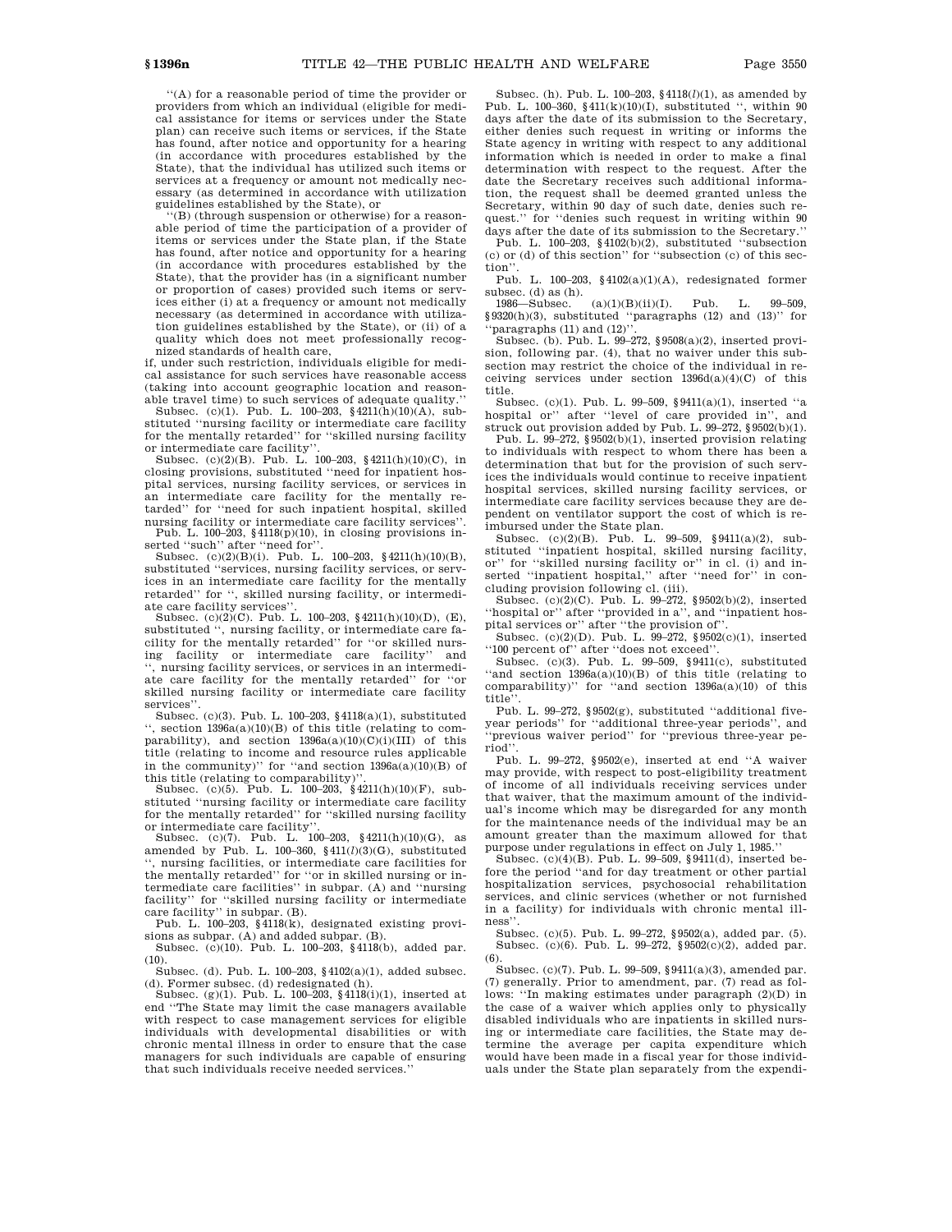''(A) for a reasonable period of time the provider or providers from which an individual (eligible for medical assistance for items or services under the State plan) can receive such items or services, if the State has found, after notice and opportunity for a hearing (in accordance with procedures established by the State), that the individual has utilized such items or services at a frequency or amount not medically necessary (as determined in accordance with utilization guidelines established by the State), or

'(B) (through suspension or otherwise) for a reasonable period of time the participation of a provider of items or services under the State plan, if the State has found, after notice and opportunity for a hearing (in accordance with procedures established by the State), that the provider has (in a significant number or proportion of cases) provided such items or services either (i) at a frequency or amount not medically necessary (as determined in accordance with utilization guidelines established by the State), or (ii) of a quality which does not meet professionally recog-

nized standards of health care, if, under such restriction, individuals eligible for medical assistance for such services have reasonable access (taking into account geographic location and reasonable travel time) to such services of adequate quality.''

Subsec. (c)(1). Pub. L. 100–203, §4211(h)(10)(A), substituted ''nursing facility or intermediate care facility for the mentally retarded'' for ''skilled nursing facility

or intermediate care facility''. Subsec. (c)(2)(B). Pub. L. 100–203, §4211(h)(10)(C), in closing provisions, substituted ''need for inpatient hospital services, nursing facility services, or services in an intermediate care facility for the mentally retarded'' for ''need for such inpatient hospital, skilled nursing facility or intermediate care facility services''.

Pub. L. 100–203, §4118(p)(10), in closing provisions inserted ''such'' after ''need for''.

Subsec. (c)(2)(B)(i). Pub. L. 100–203, §4211(h)(10)(B), substituted ''services, nursing facility services, or services in an intermediate care facility for the mentally retarded'' for '', skilled nursing facility, or intermedi-

ate care facility services''. Subsec. (c)(2)(C). Pub. L. 100–203, §4211(h)(10)(D), (E), substituted '', nursing facility, or intermediate care facility for the mentally retarded'' for ''or skilled nursing facility or intermediate care facility'' and ', nursing facility services, or services in an intermediate care facility for the mentally retarded'' for ''or skilled nursing facility or intermediate care facility services"

Subsec. (c)(3). Pub. L. 100–203, §4118(a)(1), substituted  $\lq\lq,$  section 1396a(a)(10)(B) of this title (relating to comparability), and section  $1396a(a)(10)(C)(i)(III)$  of this title (relating to income and resource rules applicable in the community)'' for ''and section 1396a(a)(10)(B) of this title (relating to comparability)'

Subsec. (c)(5). Pub. L. 100–203, §4211(h)(10)(F), substituted ''nursing facility or intermediate care facility for the mentally retarded'' for ''skilled nursing facility

or intermediate care facility''. Subsec. (c)(7). Pub. L. 100–203, §4211(h)(10)(G), as amended by Pub. L. 100–360, §411(*l*)(3)(G), substituted '', nursing facilities, or intermediate care facilities for the mentally retarded'' for ''or in skilled nursing or intermediate care facilities'' in subpar. (A) and ''nursing facility'' for ''skilled nursing facility or intermediate care facility'' in subpar. (B). Pub. L. 100–203, §4118(k), designated existing provi-

sions as subpar. (A) and added subpar. (B). Subsec. (c)(10). Pub. L. 100-203, §4118(b), added par.

(10).

Subsec. (d). Pub. L. 100–203, §4102(a)(1), added subsec. (d). Former subsec. (d) redesignated (h).

Subsec. (g)(1). Pub. L. 100–203, §4118(i)(1), inserted at end ''The State may limit the case managers available with respect to case management services for eligible individuals with developmental disabilities or with chronic mental illness in order to ensure that the case managers for such individuals are capable of ensuring that such individuals receive needed services.''

Subsec. (h). Pub. L. 100–203, §4118(*l*)(1), as amended by Pub. L. 100–360, §411(k)(10)(I), substituted '', within 90 days after the date of its submission to the Secretary, either denies such request in writing or informs the State agency in writing with respect to any additional information which is needed in order to make a final determination with respect to the request. After the date the Secretary receives such additional information, the request shall be deemed granted unless the Secretary, within 90 day of such date, denies such request.'' for ''denies such request in writing within 90 days after the date of its submission to the Secretary.

Pub. L.  $100-203$ ,  $$4102(b)(2)$ , substituted "subsection" (c) or (d) of this section'' for "subsection (c) of this section''.

Pub. L. 100–203,  $§4102(a)(1)(A)$ , redesignated former  $1986 - \text{Subsec.}$  (d) as (h).

1986—Subsec. (a)(1)(B)(ii)(I). Pub. L. 99–509, §9320(h)(3), substituted ''paragraphs (12) and (13)'' for ''paragraphs (11) and (12)''.

Subsec. (b). Pub. L.  $99-272$ ,  $9508(a)(2)$ , inserted provision, following par. (4), that no waiver under this subsection may restrict the choice of the individual in receiving services under section  $1396d(a)(4)(C)$  of this title.

Subsec. (c)(1). Pub. L. 99–509, §9411(a)(1), inserted ''a hospital or'' after ''level of care provided in'', and struck out provision added by Pub. L. 99–272, §9502(b)(1).

Pub. L. 99–272, §9502(b)(1), inserted provision relating to individuals with respect to whom there has been a determination that but for the provision of such services the individuals would continue to receive inpatient hospital services, skilled nursing facility services, or intermediate care facility services because they are dependent on ventilator support the cost of which is reimbursed under the State plan.

Subsec. (c)(2)(B). Pub. L. 99–509, §9411(a)(2), substituted ''inpatient hospital, skilled nursing facility, or'' for ''skilled nursing facility or'' in cl. (i) and inserted "inpatient hospital," after "need for" in concluding provision following cl. (iii).

Subsec. (c)(2)(C). Pub. L. 99–272, §9502(b)(2), inserted ''hospital or'' after ''provided in a'', and ''inpatient hospital services or'' after ''the provision of''.

Subsec. (c)(2)(D). Pub. L. 99–272, §9502(c)(1), inserted ''100 percent of'' after ''does not exceed''.

Subsec. (c)(3). Pub. L. 99–509, §9411(c), substituted "and section  $1396a(a)(10)(B)$  of this title (relating to comparability)'' for ''and section 1396a(a)(10) of this title'

Pub. L. 99–272, §9502(g), substituted ''additional fiveyear periods'' for ''additional three-year periods'', and ''previous waiver period'' for ''previous three-year period''.

Pub. L. 99–272, §9502(e), inserted at end ''A waiver may provide, with respect to post-eligibility treatment of income of all individuals receiving services under that waiver, that the maximum amount of the individual's income which may be disregarded for any month for the maintenance needs of the individual may be an amount greater than the maximum allowed for that purpose under regulations in effect on July 1, 1985.''

Subsec.  $(c)(4)(\overline{B})$ . Pub. L. 99-509, §9411 $(d)$ , inserted before the period ''and for day treatment or other partial hospitalization services, psychosocial rehabilitation services, and clinic services (whether or not furnished in a facility) for individuals with chronic mental illness''.

Subsec. (c)(5). Pub. L. 99–272, §9502(a), added par. (5). Subsec. (c)(6). Pub. L. 99–272, §9502(c)(2), added par. (6).

Subsec. (c)(7). Pub. L. 99–509, §9411(a)(3), amended par. (7) generally. Prior to amendment, par. (7) read as follows: ''In making estimates under paragraph (2)(D) in the case of a waiver which applies only to physically disabled individuals who are inpatients in skilled nursing or intermediate care facilities, the State may determine the average per capita expenditure which would have been made in a fiscal year for those individuals under the State plan separately from the expendi-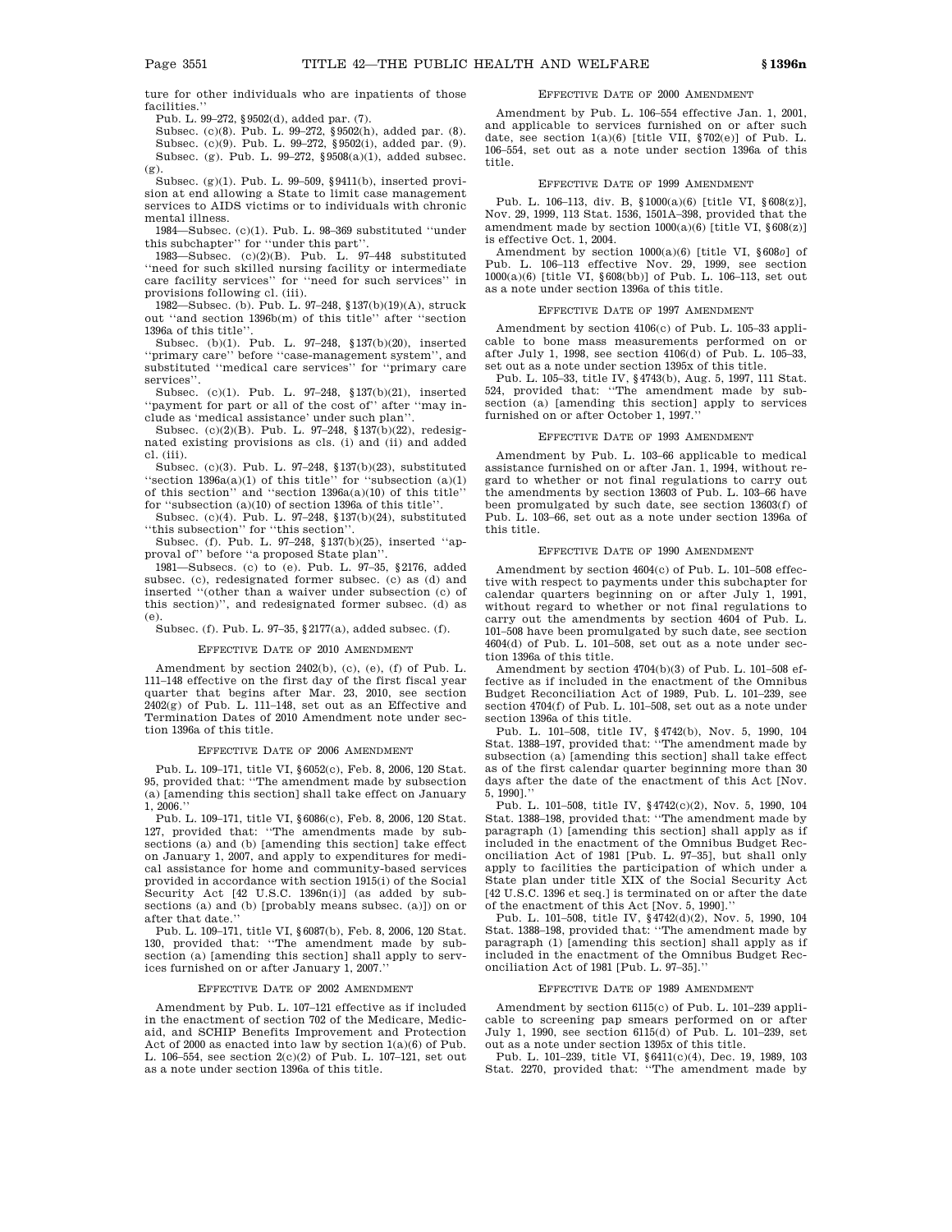ture for other individuals who are inpatients of those facilities.

Pub. L. 99–272, §9502(d), added par. (7).

Subsec. (c)(8). Pub. L. 99–272, §9502(h), added par. (8).

Subsec. (c)(9). Pub. L. 99–272, §9502(i), added par. (9). Subsec. (g). Pub. L. 99–272, §9508(a)(1), added subsec. (g).

Subsec. (g)(1). Pub. L. 99–509, §9411(b), inserted provision at end allowing a State to limit case management services to AIDS victims or to individuals with chronic mental illness.

1984—Subsec. (c)(1). Pub. L. 98–369 substituted ''under this subchapter'' for ''under this part''.

1983—Subsec. (c)(2)(B). Pub. L. 97–448 substituted ''need for such skilled nursing facility or intermediate care facility services'' for ''need for such services'' in

provisions following cl. (iii). 1982—Subsec. (b). Pub. L. 97–248, §137(b)(19)(A), struck out ''and section 1396b(m) of this title'' after ''section 1396a of this title'

Subsec. (b)(1). Pub. L. 97–248, §137(b)(20), inserted ''primary care'' before ''case-management system'', and substituted ''medical care services'' for ''primary care services''.

Subsec. (c)(1). Pub. L. 97–248, §137(b)(21), inserted ''payment for part or all of the cost of'' after ''may include as 'medical assistance' under such plan''.

Subsec. (c)(2)(B). Pub. L. 97–248, §137(b)(22), redesignated existing provisions as cls. (i) and (ii) and added cl. (iii).

Subsec. (c)(3). Pub. L. 97–248, §137(b)(23), substituted ''section  $1396a(a)(1)$  of this title'' for ''subsection  $(a)(1)$ of this section'' and ''section 1396a(a)(10) of this title'' for ''subsection (a)(10) of section 1396a of this title''.

Subsec. (c)(4). Pub. L. 97–248, §137(b)(24), substituted ''this subsection'' for ''this section''.

Subsec. (f). Pub. L. 97–248, §137(b)(25), inserted ''approval of'' before ''a proposed State plan''.

1981—Subsecs. (c) to (e). Pub. L. 97–35, §2176, added subsec. (c), redesignated former subsec. (c) as (d) and inserted ''(other than a waiver under subsection (c) of this section)'', and redesignated former subsec. (d) as (e).

Subsec. (f). Pub. L. 97–35, §2177(a), added subsec. (f).

#### EFFECTIVE DATE OF 2010 AMENDMENT

Amendment by section 2402(b), (c), (e), (f) of Pub. L. 111–148 effective on the first day of the first fiscal year quarter that begins after Mar. 23, 2010, see section 2402(g) of Pub. L. 111–148, set out as an Effective and Termination Dates of 2010 Amendment note under section 1396a of this title.

#### EFFECTIVE DATE OF 2006 AMENDMENT

Pub. L. 109–171, title VI, §6052(c), Feb. 8, 2006, 120 Stat. 95, provided that: "The amendment made by subsection (a) [amending this section] shall take effect on January 1, 2006.''

Pub. L. 109–171, title VI, §6086(c), Feb. 8, 2006, 120 Stat. 127, provided that: "The amendments made by subsections (a) and (b) [amending this section] take effect on January 1, 2007, and apply to expenditures for medical assistance for home and community-based services provided in accordance with section 1915(i) of the Social Security Act [42 U.S.C. 1396n(i)] (as added by subsections (a) and (b) [probably means subsec. (a)]) on or after that date.''

Pub. L. 109–171, title VI, §6087(b), Feb. 8, 2006, 120 Stat. 130, provided that: ''The amendment made by subsection (a) [amending this section] shall apply to services furnished on or after January 1, 2007.''

#### EFFECTIVE DATE OF 2002 AMENDMENT

Amendment by Pub. L. 107–121 effective as if included in the enactment of section 702 of the Medicare, Medicaid, and SCHIP Benefits Improvement and Protection Act of 2000 as enacted into law by section 1(a)(6) of Pub. L. 106–554, see section 2(c)(2) of Pub. L. 107–121, set out as a note under section 1396a of this title.

#### EFFECTIVE DATE OF 2000 AMENDMENT

Amendment by Pub. L. 106–554 effective Jan. 1, 2001, and applicable to services furnished on or after such date, see section  $1(a)(6)$  [title VII, §702(e)] of Pub. L. 106–554, set out as a note under section 1396a of this title.

#### EFFECTIVE DATE OF 1999 AMENDMENT

Pub. L. 106–113, div. B, §1000(a)(6) [title VI, §608(z)], Nov. 29, 1999, 113 Stat. 1536, 1501A–398, provided that the amendment made by section  $1000(a)(6)$  [title VI,  $$608(z)]$ ] is effective Oct. 1, 2004.

Amendment by section 1000(a)(6) [title VI, §608*o*] of Pub. L. 106–113 effective Nov. 29, 1999, see section  $1000(a)(6)$  [title VI,  $\S\,608(bb)]$  of Pub. L. 106–113, set out as a note under section 1396a of this title.

#### EFFECTIVE DATE OF 1997 AMENDMENT

Amendment by section 4106(c) of Pub. L. 105–33 applicable to bone mass measurements performed on or after July 1, 1998, see section 4106(d) of Pub. L. 105–33, set out as a note under section 1395x of this title.

Pub. L. 105–33, title IV, §4743(b), Aug. 5, 1997, 111 Stat. 524, provided that: ''The amendment made by subsection (a) [amending this section] apply to services furnished on or after October 1, 1997.

#### EFFECTIVE DATE OF 1993 AMENDMENT

Amendment by Pub. L. 103–66 applicable to medical assistance furnished on or after Jan. 1, 1994, without regard to whether or not final regulations to carry out the amendments by section 13603 of Pub. L. 103–66 have been promulgated by such date, see section 13603(f) of Pub. L. 103–66, set out as a note under section 1396a of this title.

#### EFFECTIVE DATE OF 1990 AMENDMENT

Amendment by section 4604(c) of Pub. L. 101–508 effective with respect to payments under this subchapter for calendar quarters beginning on or after July 1, 1991, without regard to whether or not final regulations to carry out the amendments by section 4604 of Pub. L. 101–508 have been promulgated by such date, see section  $4604(d)$  of Pub. L.  $101-508$ , set out as a note under section 1396a of this title.

Amendment by section 4704(b)(3) of Pub. L. 101–508 effective as if included in the enactment of the Omnibus Budget Reconciliation Act of 1989, Pub. L. 101–239, see section 4704(f) of Pub. L. 101–508, set out as a note under section 1396a of this title.

Pub. L. 101–508, title IV, §4742(b), Nov. 5, 1990, 104 Stat. 1388–197, provided that: ''The amendment made by subsection (a) [amending this section] shall take effect as of the first calendar quarter beginning more than 30 days after the date of the enactment of this Act [Nov. 5, 1990].''

Pub. L. 101–508, title IV, §4742(c)(2), Nov. 5, 1990, 104 Stat. 1388–198, provided that: ''The amendment made by paragraph (1) [amending this section] shall apply as if included in the enactment of the Omnibus Budget Reconciliation Act of 1981 [Pub. L. 97–35], but shall only apply to facilities the participation of which under a State plan under title XIX of the Social Security Act [42 U.S.C. 1396 et seq.] is terminated on or after the date of the enactment of this Act [Nov. 5, 1990].''

Pub. L. 101–508, title IV, §4742(d)(2), Nov. 5, 1990, 104<br>Stat. 1388–198, provided that: "The amendment made by paragraph (1) [amending this section] shall apply as if included in the enactment of the Omnibus Budget Reconciliation Act of 1981 [Pub. L. 97–35].''

#### EFFECTIVE DATE OF 1989 AMENDMENT

Amendment by section 6115(c) of Pub. L. 101–239 applicable to screening pap smears performed on or after July 1, 1990, see section 6115(d) of Pub. L. 101–239, set out as a note under section 1395x of this title.

Pub. L. 101–239, title VI, §6411(c)(4), Dec. 19, 1989, 103 Stat. 2270, provided that: ''The amendment made by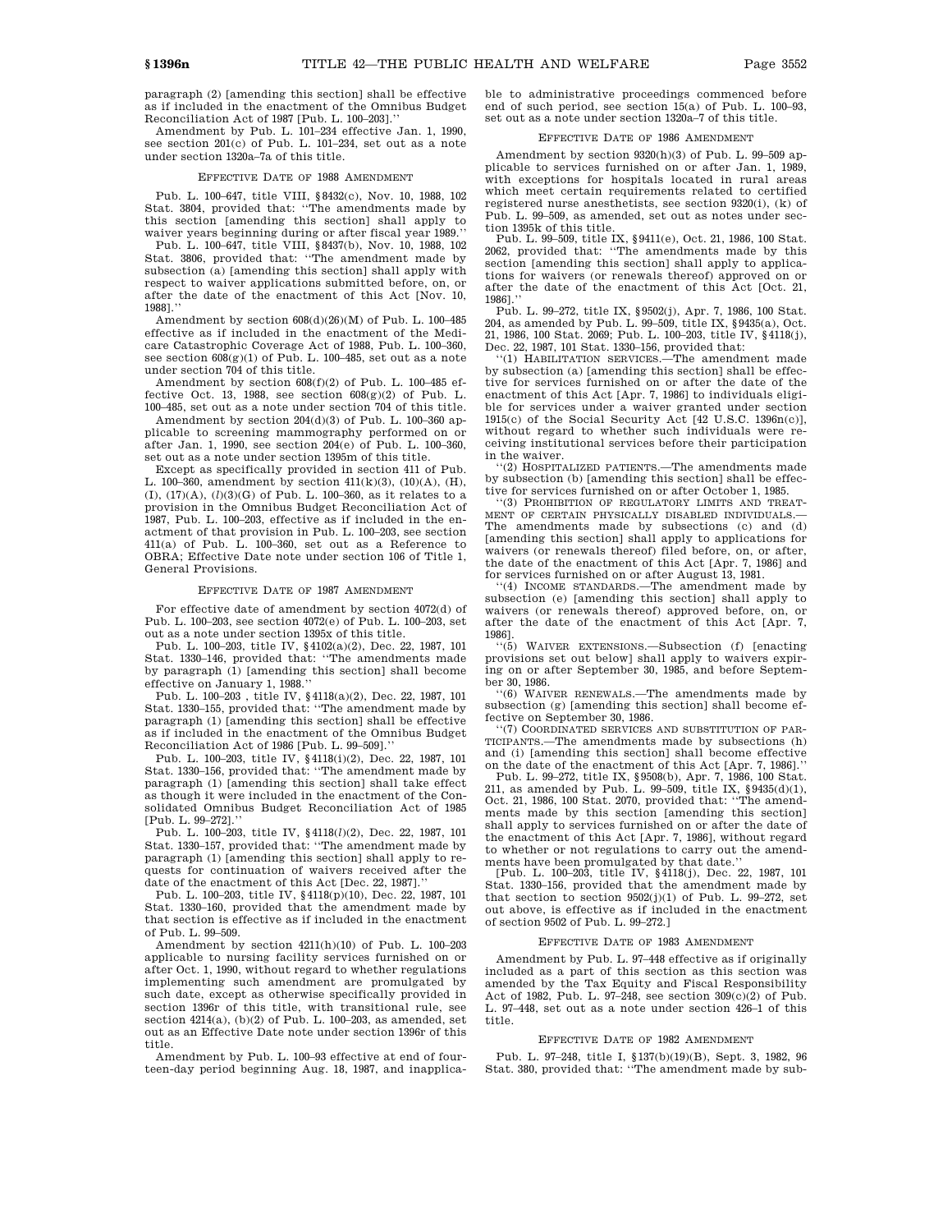paragraph (2) [amending this section] shall be effective as if included in the enactment of the Omnibus Budget Reconciliation Act of 1987 [Pub. L. 100–203].''

Amendment by Pub. L. 101–234 effective Jan. 1, 1990, see section 201(c) of Pub. L. 101–234, set out as a note under section 1320a–7a of this title.

### EFFECTIVE DATE OF 1988 AMENDMENT

Pub. L. 100–647, title VIII, §8432(c), Nov. 10, 1988, 102 Stat. 3804, provided that: ''The amendments made by this section [amending this section] shall apply to waiver years beginning during or after fiscal year 1989.''

Pub. L. 100–647, title VIII, §8437(b), Nov. 10, 1988, 102 Stat. 3806, provided that: ''The amendment made by subsection (a) [amending this section] shall apply with respect to waiver applications submitted before, on, or after the date of the enactment of this Act [Nov. 10, 1988].''

Amendment by section 608(d)(26)(M) of Pub. L. 100–485 effective as if included in the enactment of the Medicare Catastrophic Coverage Act of 1988, Pub. L. 100–360, see section  $608(g)(1)$  of Pub. L. 100-485, set out as a note under section 704 of this title.

Amendment by section 608(f)(2) of Pub. L. 100–485 effective Oct. 13, 1988, see section  $608(g)(2)$  of Pub. L. 100–485, set out as a note under section 704 of this title.

Amendment by section 204(d)(3) of Pub. L. 100–360 applicable to screening mammography performed on or after Jan. 1, 1990, see section 204(e) of Pub. L. 100–360, set out as a note under section 1395m of this title.

Except as specifically provided in section 411 of Pub. L. 100–360, amendment by section  $411(k)(3)$ ,  $(10)(A)$ ,  $(H)$ , (I), (17)(A), (*l*)(3)(G) of Pub. L. 100–360, as it relates to a provision in the Omnibus Budget Reconciliation Act of 1987, Pub. L. 100–203, effective as if included in the enactment of that provision in Pub. L. 100–203, see section 411(a) of Pub. L. 100–360, set out as a Reference to OBRA; Effective Date note under section 106 of Title 1, General Provisions.

#### EFFECTIVE DATE OF 1987 AMENDMENT

For effective date of amendment by section 4072(d) of Pub. L. 100–203, see section 4072(e) of Pub. L. 100–203, set out as a note under section 1395x of this title.

Pub. L. 100–203, title IV, §4102(a)(2), Dec. 22, 1987, 101 Stat. 1330–146, provided that: ''The amendments made by paragraph (1) [amending this section] shall become effective on January 1, 1988.

Pub. L. 100–203 , title IV, §4118(a)(2), Dec. 22, 1987, 101 Stat. 1330–155, provided that: ''The amendment made by paragraph (1) [amending this section] shall be effective as if included in the enactment of the Omnibus Budget Reconciliation Act of 1986 [Pub. L. 99–509].''

Pub. L. 100–203, title IV, §4118(i)(2), Dec. 22, 1987, 101 Stat. 1330–156, provided that: ''The amendment made by paragraph (1) [amending this section] shall take effect as though it were included in the enactment of the Consolidated Omnibus Budget Reconciliation Act of 1985 [Pub. L. 99–272].''

Pub. L. 100–203, title IV, §4118(*l*)(2), Dec. 22, 1987, 101 Stat. 1330–157, provided that: ''The amendment made by paragraph (1) [amending this section] shall apply to requests for continuation of waivers received after the date of the enactment of this Act [Dec. 22, 1987].''

Pub. L. 100–203, title IV, §4118(p)(10), Dec. 22, 1987, 101 Stat. 1330–160, provided that the amendment made by that section is effective as if included in the enactment of Pub. L. 99–509.

Amendment by section 4211(h)(10) of Pub. L. 100–203 applicable to nursing facility services furnished on or after Oct. 1, 1990, without regard to whether regulations implementing such amendment are promulgated by such date, except as otherwise specifically provided in section 1396r of this title, with transitional rule, see section  $4214(a)$ , (b)(2) of Pub. L. 100–203, as amended, set out as an Effective Date note under section 1396r of this title.

Amendment by Pub. L. 100–93 effective at end of fourteen-day period beginning Aug. 18, 1987, and inapplicable to administrative proceedings commenced before end of such period, see section 15(a) of Pub. L. 100–93, set out as a note under section 1320a–7 of this title.

#### EFFECTIVE DATE OF 1986 AMENDMENT

Amendment by section 9320(h)(3) of Pub. L. 99–509 applicable to services furnished on or after Jan. 1, 1989, with exceptions for hospitals located in rural areas which meet certain requirements related to certified registered nurse anesthetists, see section 9320(i), (k) of Pub. L. 99–509, as amended, set out as notes under sec-

tion 1395k of this title. Pub. L. 99–509, title IX, §9411(e), Oct. 21, 1986, 100 Stat. 2062, provided that: ''The amendments made by this section [amending this section] shall apply to applications for waivers (or renewals thereof) approved on or after the date of the enactment of this Act [Oct. 21, 1986].''

Pub. L. 99–272, title IX, §9502(j), Apr. 7, 1986, 100 Stat. 204, as amended by Pub. L. 99–509, title IX, §9435(a), Oct. 21, 1986, 100 Stat. 2069; Pub. L. 100–203, title IV, §4118(j), Dec. 22, 1987, 101 Stat. 1330–156, provided that: ''(1) HABILITATION SERVICES.—The amendment made

by subsection (a) [amending this section] shall be effective for services furnished on or after the date of the enactment of this Act [Apr. 7, 1986] to individuals eligible for services under a waiver granted under section 1915(c) of the Social Security Act [42 U.S.C. 1396n(c)], without regard to whether such individuals were receiving institutional services before their participation in the waiver.

''(2) HOSPITALIZED PATIENTS.—The amendments made by subsection (b) [amending this section] shall be effective for services furnished on or after October 1, 1985.

''(3) PROHIBITION OF REGULATORY LIMITS AND TREAT-MENT OF CERTAIN PHYSICALLY DISABLED INDIVIDUALS. The amendments made by subsections (c) and (d) [amending this section] shall apply to applications for waivers (or renewals thereof) filed before, on, or after, the date of the enactment of this Act [Apr. 7, 1986] and for services furnished on or after August 13, 1981.

''(4) INCOME STANDARDS.—The amendment made by subsection (e) [amending this section] shall apply to waivers (or renewals thereof) approved before, on, or after the date of the enactment of this Act [Apr. 7, 1986].

''(5) WAIVER EXTENSIONS.—Subsection (f) [enacting provisions set out below] shall apply to waivers expiring on or after September 30, 1985, and before September 30, 1986.

''(6) WAIVER RENEWALS.—The amendments made by subsection (g) [amending this section] shall become effective on September 30, 1986.

''(7) COORDINATED SERVICES AND SUBSTITUTION OF PAR-TICIPANTS.—The amendments made by subsections (h) and (i) [amending this section] shall become effective on the date of the enactment of this Act [Apr. 7, 1986].

Pub. L. 99–272, title IX, §9508(b), Apr. 7, 1986, 100 Stat. 211, as amended by Pub. L. 99–509, title IX, §9435(d)(1), Oct. 21, 1986, 100 Stat. 2070, provided that: ''The amendments made by this section [amending this section] shall apply to services furnished on or after the date of the enactment of this Act [Apr. 7, 1986], without regard to whether or not regulations to carry out the amendments have been promulgated by that date.''

[Pub. L. 100–203, title IV, §4118(j), Dec. 22, 1987, 101 Stat. 1330–156, provided that the amendment made by that section to section 9502(j)(1) of Pub. L. 99–272, set out above, is effective as if included in the enactment of section 9502 of Pub. L. 99–272.]

#### EFFECTIVE DATE OF 1983 AMENDMENT

Amendment by Pub. L. 97–448 effective as if originally included as a part of this section as this section was amended by the Tax Equity and Fiscal Responsibility Act of 1982, Pub. L. 97–248, see section 309(c)(2) of Pub. L. 97–448, set out as a note under section 426–1 of this title.

#### EFFECTIVE DATE OF 1982 AMENDMENT

Pub. L. 97–248, title I, §137(b)(19)(B), Sept. 3, 1982, 96 Stat. 380, provided that: ''The amendment made by sub